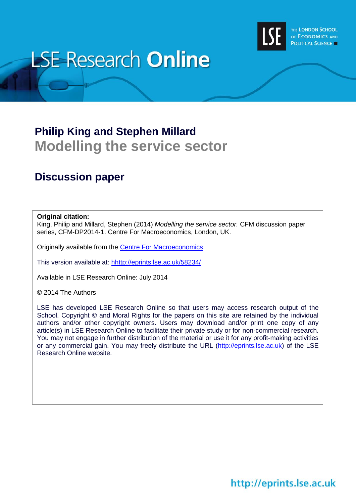

# **LSE Research Online**

## **Philip King and Stephen Millard Modelling the service sector**

## **Discussion paper**

#### **Original citation:**

King, Philip and Millard, Stephen (2014) *Modelling the service sector.* CFM discussion paper series, CFM-DP2014-1. Centre For Macroeconomics, London, UK.

Originally available from the [Centre For Macroeconomics](http://www.centreformacroeconomics.ac.uk/Home.aspx)

This version available at: [hhttp://eprints.lse.ac.uk/58234/](http://eprints.lse.ac.uk/)

Available in LSE Research Online: July 2014

© 2014 The Authors

LSE has developed LSE Research Online so that users may access research output of the School. Copyright © and Moral Rights for the papers on this site are retained by the individual authors and/or other copyright owners. Users may download and/or print one copy of any article(s) in LSE Research Online to facilitate their private study or for non-commercial research. You may not engage in further distribution of the material or use it for any profit-making activities or any commercial gain. You may freely distribute the URL (http://eprints.lse.ac.uk) of the LSE Research Online website.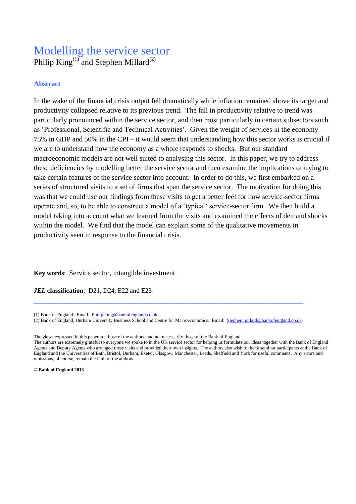## Modelling the service sector

Philip  $King<sup>(1)</sup>$  and Stephen Millard<sup>(2)</sup>

#### **Abstract**

In the wake of the financial crisis output fell dramatically while inflation remained above its target and productivity collapsed relative to its previous trend. The fall in productivity relative to trend was particularly pronounced within the service sector, and then most particularly in certain subsectors such as 'Professional, Scientific and Technical Activities'. Given the weight of services in the economy – 75% in GDP and 50% in the CPI – it would seem that understanding how this sector works is crucial if we are to understand how the economy as a whole responds to shocks. But our standard macroeconomic models are not well suited to analysing this sector. In this paper, we try to address these deficiencies by modelling better the service sector and then examine the implications of trying to take certain features of the service sector into account. In order to do this, we first embarked on a series of structured visits to a set of firms that span the service sector. The motivation for doing this was that we could use our findings from these visits to get a better feel for how service-sector firms operate and, so, to be able to construct a model of a 'typical' service-sector firm. We then build a model taking into account what we learned from the visits and examined the effects of demand shocks within the model. We find that the model can explain some of the qualitative movements in productivity seen in response to the financial crisis.

**Key words**: Service sector, intangible investment

*JEL* **classification**: D21, D24, E22 and E23

(1) Bank of England. Email: [Philip.king@bankofengland.co.uk](mailto:Philip.king@bankofengland.co.uk)

(2) Bank of England, Durham University Business School and Centre for Macroeconomics. Email: [Stephen.millard@bankofengland.co.uk](mailto:Stephen.millard@bankofengland.co.uk)

\_\_\_\_\_\_\_\_\_\_\_\_\_\_\_\_\_\_\_\_\_\_\_\_\_\_\_\_\_\_\_\_\_\_\_\_\_\_\_\_\_\_\_\_\_\_\_\_\_\_\_\_\_\_\_\_\_\_\_\_\_\_\_\_\_\_\_\_\_\_\_\_\_\_\_\_\_\_\_\_\_\_

The views expressed in this paper are those of the authors, and not necessarily those of the Bank of England.

The authors are extremely grateful to everyone we spoke to in the UK service sector for helping us formulate our ideas together with the Bank of England Agents and Deputy Agents who arranged these visits and provided their own insights. The authors also wish to thank seminar participants at the Bank of England and the Universities of Bath, Bristol, Durham, Exeter, Glasgow, Manchester, Leeds, Sheffield and York for useful comments. Any errors and omissions, of course, remain the fault of the authors.

**© Bank of England 2013**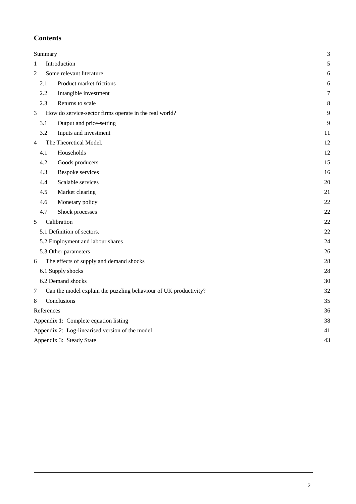## **Contents**

|                                                 | Summary                          |                                                                  |    |
|-------------------------------------------------|----------------------------------|------------------------------------------------------------------|----|
| 1                                               | Introduction                     | 5                                                                |    |
| $\overline{2}$                                  |                                  | Some relevant literature                                         | 6  |
|                                                 | 2.1                              | Product market frictions                                         | 6  |
|                                                 | 2.2                              | Intangible investment                                            | 7  |
|                                                 | 2.3                              | Returns to scale                                                 | 8  |
| 3                                               |                                  | How do service-sector firms operate in the real world?           | 9  |
|                                                 | 3.1                              | Output and price-setting                                         | 9  |
|                                                 | 3.2                              | Inputs and investment                                            | 11 |
| 4                                               |                                  | The Theoretical Model.                                           | 12 |
|                                                 | 4.1                              | Households                                                       | 12 |
|                                                 | 4.2                              | Goods producers                                                  | 15 |
|                                                 | 4.3                              | Bespoke services                                                 | 16 |
|                                                 | 4.4                              | Scalable services                                                | 20 |
|                                                 | 4.5                              | Market clearing                                                  | 21 |
|                                                 | 4.6                              | Monetary policy                                                  | 22 |
|                                                 | 4.7                              | Shock processes                                                  | 22 |
| 5                                               |                                  | Calibration                                                      | 22 |
|                                                 | 5.1 Definition of sectors.       |                                                                  | 22 |
|                                                 | 5.2 Employment and labour shares |                                                                  | 24 |
|                                                 |                                  | 5.3 Other parameters                                             | 26 |
| 6                                               |                                  | The effects of supply and demand shocks                          | 28 |
|                                                 |                                  | 6.1 Supply shocks                                                | 28 |
|                                                 |                                  | 6.2 Demand shocks                                                | 30 |
| $\tau$                                          |                                  | Can the model explain the puzzling behaviour of UK productivity? | 32 |
| 8                                               |                                  | Conclusions                                                      | 35 |
| References                                      |                                  |                                                                  | 36 |
| Appendix 1: Complete equation listing           |                                  |                                                                  | 38 |
| Appendix 2: Log-linearised version of the model |                                  |                                                                  | 41 |
|                                                 | Appendix 3: Steady State         |                                                                  |    |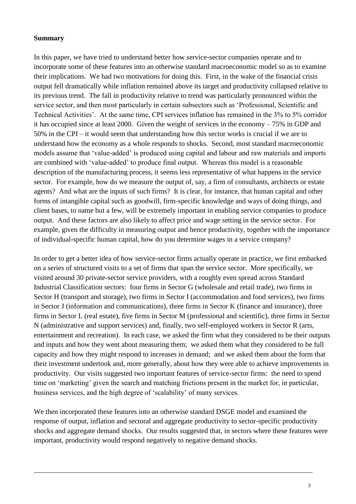#### <span id="page-3-0"></span>**Summary**

In this paper, we have tried to understand better how service-sector companies operate and to incorporate some of these features into an otherwise standard macroeconomic model so as to examine their implications. We had two motivations for doing this. First, in the wake of the financial crisis output fell dramatically while inflation remained above its target and productivity collapsed relative to its previous trend. The fall in productivity relative to trend was particularly pronounced within the service sector, and then most particularly in certain subsectors such as 'Professional, Scientific and Technical Activities'. At the same time, CPI services inflation has remained in the 3% to 5% corridor it has occupied since at least 2000. Given the weight of services in the economy – 75% in GDP and 50% in the CPI – it would seem that understanding how this sector works is crucial if we are to understand how the economy as a whole responds to shocks. Second, most standard macroeconomic models assume that 'value-added' is produced using capital and labour and raw materials and imports are combined with 'value-added' to produce final output. Whereas this model is a reasonable description of the manufacturing process, it seems less representative of what happens in the service sector. For example, how do we measure the output of, say, a firm of consultants, architects or estate agents? And what are the inputs of such firms? It is clear, for instance, that human capital and other forms of intangible capital such as goodwill, firm-specific knowledge and ways of doing things, and client bases, to name but a few, will be extremely important in enabling service companies to produce output. And these factors are also likely to affect price and wage setting in the service sector. For example, given the difficulty in measuring output and hence productivity, together with the importance of individual-specific human capital, how do you determine wages in a service company?

In order to get a better idea of how service-sector firms actually operate in practice, we first embarked on a series of structured visits to a set of firms that span the service sector. More specifically, we visited around 30 private-sector service providers, with a roughly even spread across Standard Industrial Classification sectors: four firms in Sector G (wholesale and retail trade), two firms in Sector H (transport and storage), two firms in Sector I (accommodation and food services), two firms in Sector J (information and communications), three firms in Sector K (finance and insurance), three firms in Sector L (real estate), five firms in Sector M (professional and scientific), three firms in Sector N (administrative and support services) and, finally, two self-employed workers in Sector R (arts, entertainment and recreation). In each case, we asked the firm what they considered to be their outputs and inputs and how they went about measuring them; we asked them what they considered to be full capacity and how they might respond to increases in demand; and we asked them about the form that their investment undertook and, more generally, about how they were able to achieve improvements in productivity. Our visits suggested two important features of service-sector firms: the need to spend time on 'marketing' given the search and matching frictions present in the market for, in particular, business services, and the high degree of 'scalability' of many services.

We then incorporated these features into an otherwise standard DSGE model and examined the response of output, inflation and sectoral and aggregate productivity to sector-specific productivity shocks and aggregate demand shocks. Our results suggested that, in sectors where these features were important, productivity would respond negatively to negative demand shocks.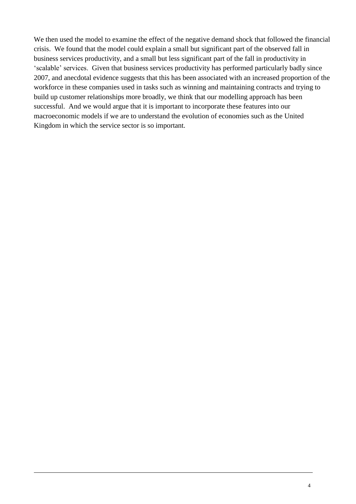We then used the model to examine the effect of the negative demand shock that followed the financial crisis. We found that the model could explain a small but significant part of the observed fall in business services productivity, and a small but less significant part of the fall in productivity in 'scalable' services. Given that business services productivity has performed particularly badly since 2007, and anecdotal evidence suggests that this has been associated with an increased proportion of the workforce in these companies used in tasks such as winning and maintaining contracts and trying to build up customer relationships more broadly, we think that our modelling approach has been successful. And we would argue that it is important to incorporate these features into our macroeconomic models if we are to understand the evolution of economies such as the United Kingdom in which the service sector is so important.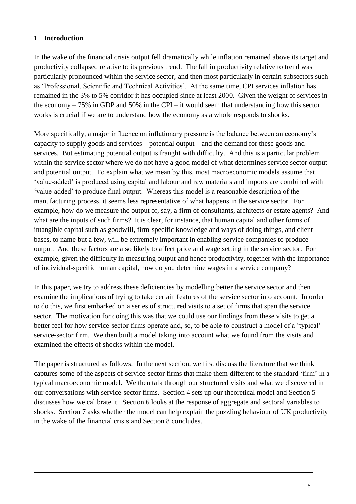## <span id="page-5-0"></span>**1 Introduction**

In the wake of the financial crisis output fell dramatically while inflation remained above its target and productivity collapsed relative to its previous trend. The fall in productivity relative to trend was particularly pronounced within the service sector, and then most particularly in certain subsectors such as 'Professional, Scientific and Technical Activities'. At the same time, CPI services inflation has remained in the 3% to 5% corridor it has occupied since at least 2000. Given the weight of services in the economy – 75% in GDP and 50% in the CPI – it would seem that understanding how this sector works is crucial if we are to understand how the economy as a whole responds to shocks.

More specifically, a major influence on inflationary pressure is the balance between an economy's capacity to supply goods and services – potential output – and the demand for these goods and services. But estimating potential output is fraught with difficulty. And this is a particular problem within the service sector where we do not have a good model of what determines service sector output and potential output. To explain what we mean by this, most macroeconomic models assume that 'value-added' is produced using capital and labour and raw materials and imports are combined with 'value-added' to produce final output. Whereas this model is a reasonable description of the manufacturing process, it seems less representative of what happens in the service sector. For example, how do we measure the output of, say, a firm of consultants, architects or estate agents? And what are the inputs of such firms? It is clear, for instance, that human capital and other forms of intangible capital such as goodwill, firm-specific knowledge and ways of doing things, and client bases, to name but a few, will be extremely important in enabling service companies to produce output. And these factors are also likely to affect price and wage setting in the service sector. For example, given the difficulty in measuring output and hence productivity, together with the importance of individual-specific human capital, how do you determine wages in a service company?

In this paper, we try to address these deficiencies by modelling better the service sector and then examine the implications of trying to take certain features of the service sector into account. In order to do this, we first embarked on a series of structured visits to a set of firms that span the service sector. The motivation for doing this was that we could use our findings from these visits to get a better feel for how service-sector firms operate and, so, to be able to construct a model of a 'typical' service-sector firm. We then built a model taking into account what we found from the visits and examined the effects of shocks within the model.

The paper is structured as follows. In the next section, we first discuss the literature that we think captures some of the aspects of service-sector firms that make them different to the standard 'firm' in a typical macroeconomic model. We then talk through our structured visits and what we discovered in our conversations with service-sector firms. Section 4 sets up our theoretical model and Section 5 discusses how we calibrate it. Section 6 looks at the response of aggregate and sectoral variables to shocks. Section 7 asks whether the model can help explain the puzzling behaviour of UK productivity in the wake of the financial crisis and Section 8 concludes.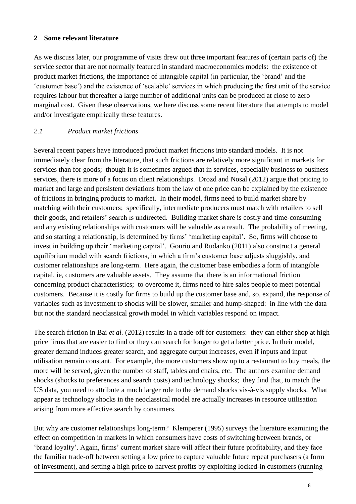## <span id="page-6-0"></span>**2 Some relevant literature**

As we discuss later, our programme of visits drew out three important features of (certain parts of) the service sector that are not normally featured in standard macroeconomics models: the existence of product market frictions, the importance of intangible capital (in particular, the 'brand' and the 'customer base') and the existence of 'scalable' services in which producing the first unit of the service requires labour but thereafter a large number of additional units can be produced at close to zero marginal cost. Given these observations, we here discuss some recent literature that attempts to model and/or investigate empirically these features.

## <span id="page-6-1"></span>*2.1 Product market frictions*

Several recent papers have introduced product market frictions into standard models. It is not immediately clear from the literature, that such frictions are relatively more significant in markets for services than for goods; though it is sometimes argued that in services, especially business to business services, there is more of a focus on client relationships. Drozd and Nosal (2012) argue that pricing to market and large and persistent deviations from the law of one price can be explained by the existence of frictions in bringing products to market. In their model, firms need to build market share by matching with their customers; specifically, intermediate producers must match with retailers to sell their goods, and retailers' search is undirected. Building market share is costly and time-consuming and any existing relationships with customers will be valuable as a result. The probability of meeting, and so starting a relationship, is determined by firms' 'marketing capital'. So, firms will choose to invest in building up their 'marketing capital'. Gourio and Rudanko (2011) also construct a general equilibrium model with search frictions, in which a firm's customer base adjusts sluggishly, and customer relationships are long-term. Here again, the customer base embodies a form of intangible capital, ie, customers are valuable assets. They assume that there is an informational friction concerning product characteristics; to overcome it, firms need to hire sales people to meet potential customers. Because it is costly for firms to build up the customer base and, so, expand, the response of variables such as investment to shocks will be slower, smaller and hump-shaped: in line with the data but not the standard neoclassical growth model in which variables respond on impact.

The search friction in Bai *et al.* (2012) results in a trade-off for customers: they can either shop at high price firms that are easier to find or they can search for longer to get a better price. In their model, greater demand induces greater search, and aggregate output increases, even if inputs and input utilisation remain constant. For example, the more customers show up to a restaurant to buy meals, the more will be served, given the number of staff, tables and chairs, etc. The authors examine demand shocks (shocks to preferences and search costs) and technology shocks; they find that, to match the US data, you need to attribute a much larger role to the demand shocks vis-à-vis supply shocks. What appear as technology shocks in the neoclassical model are actually increases in resource utilisation arising from more effective search by consumers.

But why are customer relationships long-term? Klemperer (1995) surveys the literature examining the effect on competition in markets in which consumers have costs of switching between brands, or 'brand loyalty'. Again, firms' current market share will affect their future profitability, and they face the familiar trade-off between setting a low price to capture valuable future repeat purchasers (a form of investment), and setting a high price to harvest profits by exploiting locked-in customers (running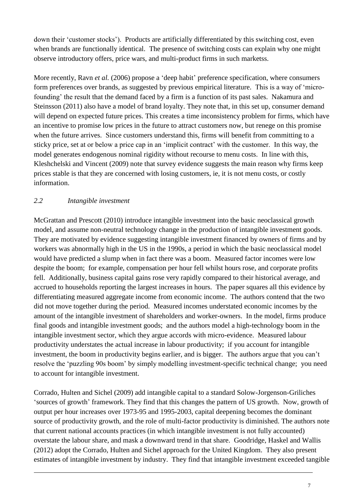down their 'customer stocks'). Products are artificially differentiated by this switching cost, even when brands are functionally identical. The presence of switching costs can explain why one might observe introductory offers, price wars, and multi-product firms in such marketss.

More recently, Ravn *et al.* (2006) propose a 'deep habit' preference specification, where consumers form preferences over brands, as suggested by previous empirical literature. This is a way of 'microfounding' the result that the demand faced by a firm is a function of its past sales. Nakamura and Steinsson (2011) also have a model of brand loyalty. They note that, in this set up, consumer demand will depend on expected future prices. This creates a time inconsistency problem for firms, which have an incentive to promise low prices in the future to attract customers now, but renege on this promise when the future arrives. Since customers understand this, firms will benefit from committing to a sticky price, set at or below a price cap in an 'implicit contract' with the customer. In this way, the model generates endogenous nominal rigidity without recourse to menu costs. In line with this, Kleshchelski and Vincent (2009) note that survey evidence suggests the main reason why firms keep prices stable is that they are concerned with losing customers, ie, it is not menu costs, or costly information.

## <span id="page-7-0"></span>*2.2 Intangible investment*

McGrattan and Prescott (2010) introduce intangible investment into the basic neoclassical growth model, and assume non-neutral technology change in the production of intangible investment goods. They are motivated by evidence suggesting intangible investment financed by owners of firms and by workers was abnormally high in the US in the 1990s, a period in which the basic neoclassical model would have predicted a slump when in fact there was a boom. Measured factor incomes were low despite the boom; for example, compensation per hour fell whilst hours rose, and corporate profits fell. Additionally, business capital gains rose very rapidly compared to their historical average, and accrued to households reporting the largest increases in hours. The paper squares all this evidence by differentiating measured aggregate income from economic income. The authors contend that the two did not move together during the period. Measured incomes understated economic incomes by the amount of the intangible investment of shareholders and worker-owners. In the model, firms produce final goods and intangible investment goods; and the authors model a high-technology boom in the intangible investment sector, which they argue accords with micro-evidence. Measured labour productivity understates the actual increase in labour productivity; if you account for intangible investment, the boom in productivity begins earlier, and is bigger. The authors argue that you can't resolve the 'puzzling 90s boom' by simply modelling investment-specific technical change; you need to account for intangible investment.

Corrado, Hulten and Sichel (2009) add intangible capital to a standard Solow-Jorgenson-Griliches 'sources of growth' framework. They find that this changes the pattern of US growth. Now, growth of output per hour increases over 1973-95 and 1995-2003, capital deepening becomes the dominant source of productivity growth, and the role of multi-factor productivity is diminished. The authors note that current national accounts practices (in which intangible investment is not fully accounted) overstate the labour share, and mask a downward trend in that share. Goodridge, Haskel and Wallis (2012) adopt the Corrado, Hulten and Sichel approach for the United Kingdom. They also present estimates of intangible investment by industry. They find that intangible investment exceeded tangible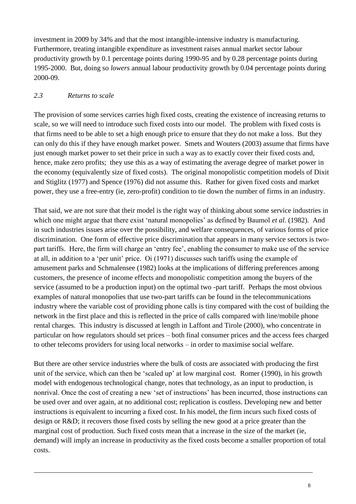investment in 2009 by 34% and that the most intangible-intensive industry is manufacturing. Furthermore, treating intangible expenditure as investment raises annual market sector labour productivity growth by 0.1 percentage points during 1990-95 and by 0.28 percentage points during 1995-2000. But, doing so *lowers* annual labour productivity growth by 0.04 percentage points during 2000-09.

## <span id="page-8-0"></span>*2.3 Returns to scale*

The provision of some services carries high fixed costs, creating the existence of increasing returns to scale, so we will need to introduce such fixed costs into our model. The problem with fixed costs is that firms need to be able to set a high enough price to ensure that they do not make a loss. But they can only do this if they have enough market power. Smets and Wouters (2003) assume that firms have just enough market power to set their price in such a way as to exactly cover their fixed costs and, hence, make zero profits; they use this as a way of estimating the average degree of market power in the economy (equivalently size of fixed costs). The original monopolistic competition models of Dixit and Stiglitz (1977) and Spence (1976) did not assume this. Rather for given fixed costs and market power, they use a free-entry (ie, zero-profit) condition to tie down the number of firms in an industry.

That said, we are not sure that their model is the right way of thinking about some service industries in which one might argue that there exist 'natural monopolies' as defined by Baumol *et al.* (1982). And in such industries issues arise over the possibility, and welfare consequences, of various forms of price discrimination. One form of effective price discrimination that appears in many service sectors is twopart tariffs. Here, the firm will charge an 'entry fee', enabling the consumer to make use of the service at all, in addition to a 'per unit' price. Oi (1971) discusses such tariffs using the example of amusement parks and Schmalensee (1982) looks at the implications of differing preferences among customers, the presence of income effects and monopolistic competition among the buyers of the service (assumed to be a production input) on the optimal two -part tariff. Perhaps the most obvious examples of natural monopolies that use two-part tariffs can be found in the telecommunications industry where the variable cost of providing phone calls is tiny compared with the cost of building the network in the first place and this is reflected in the price of calls compared with line/mobile phone rental charges. This industry is discussed at length in Laffont and Tirole (2000), who concentrate in particular on how regulators should set prices – both final consumer prices and the access fees charged to other telecoms providers for using local networks – in order to maximise social welfare.

But there are other service industries where the bulk of costs are associated with producing the first unit of the service, which can then be 'scaled up' at low marginal cost. Romer (1990), in his growth model with endogenous technological change, notes that technology, as an input to production, is nonrival. Once the cost of creating a new 'set of instructions' has been incurred, those instructions can be used over and over again, at no additional cost; replication is costless. Developing new and better instructions is equivalent to incurring a fixed cost. In his model, the firm incurs such fixed costs of design or R&D; it recovers those fixed costs by selling the new good at a price greater than the marginal cost of production. Such fixed costs mean that a increase in the size of the market (ie, demand) will imply an increase in productivity as the fixed costs become a smaller proportion of total costs.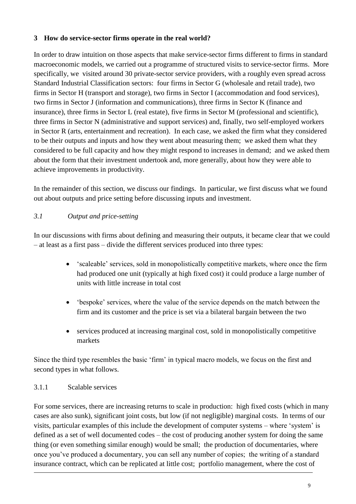## <span id="page-9-0"></span>**3 How do service-sector firms operate in the real world?**

In order to draw intuition on those aspects that make service-sector firms different to firms in standard macroeconomic models, we carried out a programme of structured visits to service-sector firms. More specifically, we visited around 30 private-sector service providers, with a roughly even spread across Standard Industrial Classification sectors: four firms in Sector G (wholesale and retail trade), two firms in Sector H (transport and storage), two firms in Sector I (accommodation and food services), two firms in Sector J (information and communications), three firms in Sector K (finance and insurance), three firms in Sector L (real estate), five firms in Sector M (professional and scientific), three firms in Sector N (administrative and support services) and, finally, two self-employed workers in Sector R (arts, entertainment and recreation). In each case, we asked the firm what they considered to be their outputs and inputs and how they went about measuring them; we asked them what they considered to be full capacity and how they might respond to increases in demand; and we asked them about the form that their investment undertook and, more generally, about how they were able to achieve improvements in productivity.

In the remainder of this section, we discuss our findings. In particular, we first discuss what we found out about outputs and price setting before discussing inputs and investment.

## <span id="page-9-1"></span>*3.1 Output and price-setting*

In our discussions with firms about defining and measuring their outputs, it became clear that we could – at least as a first pass – divide the different services produced into three types:

- 'scaleable' services, sold in monopolistically competitive markets, where once the firm had produced one unit (typically at high fixed cost) it could produce a large number of units with little increase in total cost
- 'bespoke' services, where the value of the service depends on the match between the firm and its customer and the price is set via a bilateral bargain between the two
- services produced at increasing marginal cost, sold in monopolistically competitive markets

Since the third type resembles the basic 'firm' in typical macro models, we focus on the first and second types in what follows.

## 3.1.1 Scalable services

For some services, there are increasing returns to scale in production: high fixed costs (which in many cases are also sunk), significant joint costs, but low (if not negligible) marginal costs. In terms of our visits, particular examples of this include the development of computer systems – where 'system' is defined as a set of well documented codes – the cost of producing another system for doing the same thing (or even something similar enough) would be small; the production of documentaries, where once you've produced a documentary, you can sell any number of copies; the writing of a standard insurance contract, which can be replicated at little cost; portfolio management, where the cost of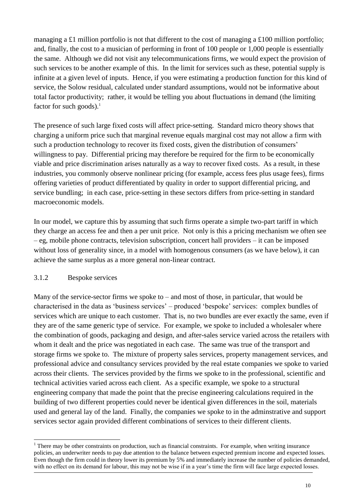managing a £1 million portfolio is not that different to the cost of managing a £100 million portfolio; and, finally, the cost to a musician of performing in front of 100 people or 1,000 people is essentially the same. Although we did not visit any telecommunications firms, we would expect the provision of such services to be another example of this. In the limit for services such as these, potential supply is infinite at a given level of inputs. Hence, if you were estimating a production function for this kind of service, the Solow residual, calculated under standard assumptions, would not be informative about total factor productivity; rather, it would be telling you about fluctuations in demand (the limiting factor for such goods).<sup>1</sup>

The presence of such large fixed costs will affect price-setting. Standard micro theory shows that charging a uniform price such that marginal revenue equals marginal cost may not allow a firm with such a production technology to recover its fixed costs, given the distribution of consumers' willingness to pay. Differential pricing may therefore be required for the firm to be economically viable and price discrimination arises naturally as a way to recover fixed costs. As a result, in these industries, you commonly observe nonlinear pricing (for example, access fees plus usage fees), firms offering varieties of product differentiated by quality in order to support differential pricing, and service bundling; in each case, price-setting in these sectors differs from price-setting in standard macroeconomic models.

In our model, we capture this by assuming that such firms operate a simple two-part tariff in which they charge an access fee and then a per unit price. Not only is this a pricing mechanism we often see – eg, mobile phone contracts, television subscription, concert hall providers – it can be imposed without loss of generality since, in a model with homogenous consumers (as we have below), it can achieve the same surplus as a more general non-linear contract.

#### 3.1.2 Bespoke services

1

Many of the service-sector firms we spoke to  $-$  and most of those, in particular, that would be characterised in the data as 'business services' – produced 'bespoke' services: complex bundles of services which are unique to each customer. That is, no two bundles are ever exactly the same, even if they are of the same generic type of service. For example, we spoke to included a wholesaler where the combination of goods, packaging and design, and after-sales service varied across the retailers with whom it dealt and the price was negotiated in each case. The same was true of the transport and storage firms we spoke to. The mixture of property sales services, property management services, and professional advice and consultancy services provided by the real estate companies we spoke to varied across their clients. The services provided by the firms we spoke to in the professional, scientific and technical activities varied across each client. As a specific example, we spoke to a structural engineering company that made the point that the precise engineering calculations required in the building of two different properties could never be identical given differences in the soil, materials used and general lay of the land. Finally, the companies we spoke to in the adminstrative and support services sector again provided different combinations of services to their different clients.

 $1$  There may be other constraints on production, such as financial constraints. For example, when writing insurance policies, an underwriter needs to pay due attention to the balance between expected premium income and expected losses. Even though the firm could in theory lower its premium by 5% and immediately increase the number of policies demanded, with no effect on its demand for labour, this may not be wise if in a year's time the firm will face large expected losses.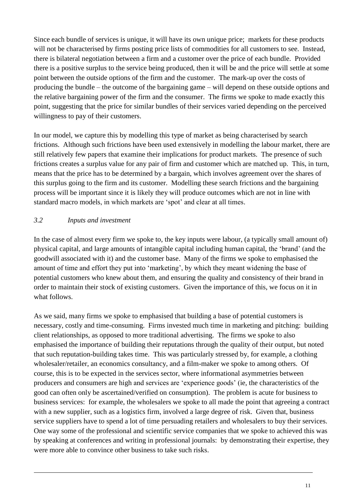Since each bundle of services is unique, it will have its own unique price; markets for these products will not be characterised by firms posting price lists of commodities for all customers to see. Instead, there is bilateral negotiation between a firm and a customer over the price of each bundle. Provided there is a positive surplus to the service being produced, then it will be and the price will settle at some point between the outside options of the firm and the customer. The mark-up over the costs of producing the bundle – the outcome of the bargaining game – will depend on these outside options and the relative bargaining power of the firm and the consumer. The firms we spoke to made exactly this point, suggesting that the price for similar bundles of their services varied depending on the perceived willingness to pay of their customers.

In our model, we capture this by modelling this type of market as being characterised by search frictions. Although such frictions have been used extensively in modelling the labour market, there are still relatively few papers that examine their implications for product markets. The presence of such frictions creates a surplus value for any pair of firm and customer which are matched up. This, in turn, means that the price has to be determined by a bargain, which involves agreement over the shares of this surplus going to the firm and its customer. Modelling these search frictions and the bargaining process will be important since it is likely they will produce outcomes which are not in line with standard macro models, in which markets are 'spot' and clear at all times.

## <span id="page-11-0"></span>*3.2 Inputs and investment*

In the case of almost every firm we spoke to, the key inputs were labour, (a typically small amount of) physical capital, and large amounts of intangible capital including human capital, the 'brand' (and the goodwill associated with it) and the customer base. Many of the firms we spoke to emphasised the amount of time and effort they put into 'marketing', by which they meant widening the base of potential customers who knew about them, and ensuring the quality and consistency of their brand in order to maintain their stock of existing customers. Given the importance of this, we focus on it in what follows.

As we said, many firms we spoke to emphasised that building a base of potential customers is necessary, costly and time-consuming. Firms invested much time in marketing and pitching: building client relationships, as opposed to more traditional advertising. The firms we spoke to also emphasised the importance of building their reputations through the quality of their output, but noted that such reputation-building takes time. This was particularly stressed by, for example, a clothing wholesaler/retailer, an economics consultancy, and a film-maker we spoke to among others. Of course, this is to be expected in the services sector, where informational asymmetries between producers and consumers are high and services are 'experience goods' (ie, the characteristics of the good can often only be ascertained/verified on consumption). The problem is acute for business to business services: for example, the wholesalers we spoke to all made the point that agreeing a contract with a new supplier, such as a logistics firm, involved a large degree of risk. Given that, business service suppliers have to spend a lot of time persuading retailers and wholesalers to buy their services. One way some of the professional and scientific service companies that we spoke to achieved this was by speaking at conferences and writing in professional journals: by demonstrating their expertise, they were more able to convince other business to take such risks.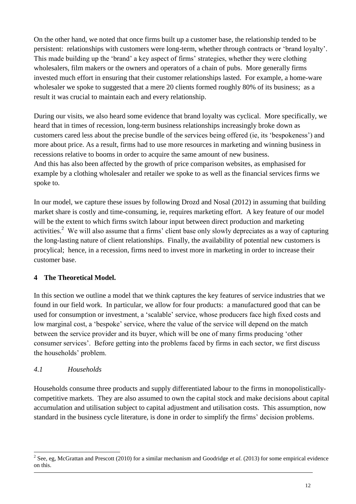On the other hand, we noted that once firms built up a customer base, the relationship tended to be persistent: relationships with customers were long-term, whether through contracts or 'brand loyalty'. This made building up the 'brand' a key aspect of firms' strategies, whether they were clothing wholesalers, film makers or the owners and operators of a chain of pubs. More generally firms invested much effort in ensuring that their customer relationships lasted. For example, a home-ware wholesaler we spoke to suggested that a mere 20 clients formed roughly 80% of its business; as a result it was crucial to maintain each and every relationship.

During our visits, we also heard some evidence that brand loyalty was cyclical. More specifically, we heard that in times of recession, long-term business relationships increasingly broke down as customers cared less about the precise bundle of the services being offered (ie, its 'bespokeness') and more about price. As a result, firms had to use more resources in marketing and winning business in recessions relative to booms in order to acquire the same amount of new business. And this has also been affected by the growth of price comparison websites, as emphasised for example by a clothing wholesaler and retailer we spoke to as well as the financial services firms we spoke to.

In our model, we capture these issues by following Drozd and Nosal (2012) in assuming that building market share is costly and time-consuming, ie, requires marketing effort. A key feature of our model will be the extent to which firms switch labour input between direct production and marketing activities.<sup>2</sup> We will also assume that a firms' client base only slowly depreciates as a way of capturing the long-lasting nature of client relationships. Finally, the availability of potential new customers is procylical; hence, in a recession, firms need to invest more in marketing in order to increase their customer base.

## <span id="page-12-0"></span>**4 The Theoretical Model.**

In this section we outline a model that we think captures the key features of service industries that we found in our field work. In particular, we allow for four products: a manufactured good that can be used for consumption or investment, a 'scalable' service, whose producers face high fixed costs and low marginal cost, a 'bespoke' service, where the value of the service will depend on the match between the service provider and its buyer, which will be one of many firms producing 'other consumer services'. Before getting into the problems faced by firms in each sector, we first discuss the households' problem.

## <span id="page-12-1"></span>*4.1 Households*

Households consume three products and supply differentiated labour to the firms in monopolisticallycompetitive markets. They are also assumed to own the capital stock and make decisions about capital accumulation and utilisation subject to capital adjustment and utilisation costs. This assumption, now standard in the business cycle literature, is done in order to simplify the firms' decision problems.

 2 See, eg, McGrattan and Prescott (2010) for a similar mechanism and Goodridge *et al.* (2013) for some empirical evidence on this.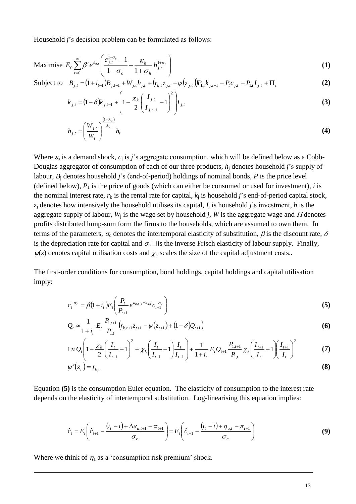Household *j*'s decision problem can be formulated as follows:

Maximise 
$$
E_0 \sum_{t=0}^{\infty} \beta^t e^{\varepsilon_{a,t}} \left( \frac{c_{j,t}^{1-\sigma_c} - 1}{1-\sigma_c} - \frac{\kappa_h}{1+\sigma_h} h_{j,t}^{1+\sigma_h} \right)
$$
 (1)

Subject to 
$$
B_{j,t} = (1 + i_{t-1})B_{j,t-1} + W_{j,t}h_{j,t} + (r_{k,t}z_{j,t} - \psi(z_{j,t}))P_{1,t}k_{j,t-1} - P_{t}c_{j,t} - P_{1,t}I_{j,t} + \Pi_{t}
$$
 (2)

$$
k_{j,t} = (1 - \delta)k_{j,t-1} + \left(1 - \frac{\chi_k}{2} \left(\frac{I_{j,t}}{I_{j,t-1}} - 1\right)^2\right)I_{j,t}
$$
\n(3)

$$
h_{j,t} = \left(\frac{W_{j,t}}{W_t}\right)^{\frac{(1+\lambda_w)}{\lambda_w}} h_t
$$
 (4)

Where  $\varepsilon_a$  is a demand shock,  $c_i$  is *j*'s aggregate consumption, which will be defined below as a Cobb-Douglas aggregator of consumption of each of our three products,  $h_i$  denotes household *j*'s supply of labour, *B*<sup>j</sup> denotes household *j*'s (end-of-period) holdings of nominal bonds, *P* is the price level (defined below),  $P_1$  is the price of goods (which can either be consumed or used for investment), *i* is the nominal interest rate,  $r_k$  is the rental rate for capital,  $k_i$  is household *j*'s end-of-period capital stock,  $z_i$  denotes how intensively the household utilises its capital,  $I_i$  is household  $j$ 's investment,  $h$  is the aggregate supply of labour,  $W_i$  is the wage set by household *j*, *W* is the aggregate wage and *H* denotes profits distributed lump-sum form the firms to the households, which are assumed to own them. In terms of the parameters,  $\sigma_c$  denotes the intertemporal elasticity of substitution,  $\beta$  is the discount rate,  $\delta$ is the depreciation rate for capital and  $\sigma_h$  is the inverse Frisch elasticity of labour supply. Finally,  $\psi(z)$  denotes capital utilisation costs and  $\chi_k$  scales the size of the capital adjustment costs..

The first-order conditions for consumption, bond holdings, capital holdings and capital utilisation imply:

$$
c_t^{-\sigma_c} = \beta (1 + i_t) E_t \left( \frac{P_t}{P_{t+1}} e^{\varepsilon_{a,t+1} - \varepsilon_{a,t}} c_{t+1}^{-\sigma_c} \right)
$$
 (5)

$$
Q_{t} \approx \frac{1}{1+i_{t}} E_{t} \frac{P_{1,t+1}}{P_{1,t}} \left( r_{k,t+1} z_{t+1} - \psi(z_{t+1}) + (1-\delta) Q_{t+1} \right)
$$
(6)

$$
1 \approx Q_t \left( 1 - \frac{\chi_k}{2} \left( \frac{I_t}{I_{t-1}} - 1 \right)^2 - \chi_k \left( \frac{I_t}{I_{t-1}} - 1 \right) \frac{I_t}{I_{t-1}} \right) + \frac{1}{1 + i_t} E_t Q_{t+1} \frac{P_{1,t+1}}{P_{1,t}} \chi_k \left( \frac{I_{t+1}}{I_t} - 1 \right) \left( \frac{I_{t+1}}{I_t} \right)^2 \tag{7}
$$

$$
\psi'(z_t) = r_{k,t} \tag{8}
$$

Equation **(5)** is the consumption Euler equation. The elasticity of consumption to the interest rate depends on the elasticity of intertemporal substitution. Log-linearising this equation implies:

$$
\hat{c}_t = E_t \left( \hat{c}_{t+1} - \frac{(i_t - i) + \Delta \varepsilon_{a,t+1} - \pi_{t+1}}{\sigma_c} \right) = E_t \left( \hat{c}_{t+1} - \frac{(i_t - i) + \eta_{a,t} - \pi_{t+1}}{\sigma_c} \right)
$$
(9)

Where we think of  $\eta_a$  as a 'consumption risk premium' shock.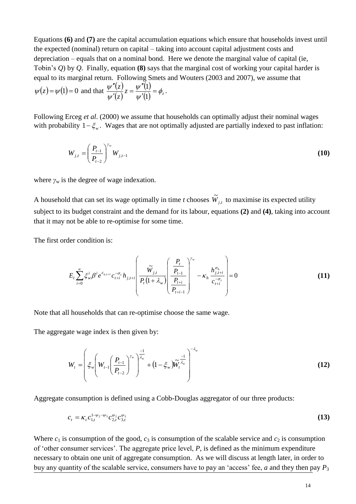Equations **(6)** and **(7)** are the capital accumulation equations which ensure that households invest until the expected (nominal) return on capital – taking into account capital adjustment costs and depreciation – equals that on a nominal bond. Here we denote the marginal value of capital (ie, Tobin's *Q*) by *Q*. Finally, equation **(8)** says that the marginal cost of working your capital harder is equal to its marginal return. Following Smets and Wouters (2003 and 2007), we assume that  $\psi(z) = \psi(1) = 0$  and that  $\frac{\psi''(z)}{\psi(z)}$  $(z)$  $(1)$  $z = \frac{\varphi'(1)}{\psi'(1)} = \phi_z$ *z*  $\frac{z}{\sqrt{z}}$   $\frac{z}{z} = \frac{\psi''(1)}{\psi(z)} = \phi$  $\psi$  $\psi$  $\psi$  $\frac{\psi''(z)}{\psi(z)}z=\frac{\psi''(1)}{\psi(z)}$  $\overline{\phantom{a}}$  $\mathbf{r}$  $=$  $\overline{\phantom{a}}$  $\mathbf{r}$  $\left(1\right)$  $\frac{(1)}{(1)} = \phi$ .

Following Erceg *et al*. (2000) we assume that households can optimally adjust their nominal wages with probability  $1-\xi_w$ . Wages that are not optimally adjusted are partially indexed to past inflation:

$$
W_{j,t} = \left(\frac{P_{t-1}}{P_{t-2}}\right)^{\gamma_w} W_{j,t-1}
$$
\n(10)

where  $\gamma_w$  is the degree of wage indexation.

A household that can set its wage optimally in time *t* chooses  $\tilde{W}_{j,t}$  to maximise its expected utility subject to its budget constraint and the demand for its labour, equations **(2)** and **(4)**, taking into account that it may not be able to re-optimise for some time.

The first order condition is:

$$
E_{t} \sum_{i=0}^{\infty} \xi_{w}^{i} \beta^{i} e^{\varepsilon_{a,t+i}} c_{t+i}^{-\sigma_{c}} h_{j,t+i} \left( \frac{\widetilde{W}_{j,t}}{P_{t}(1+\lambda_{w})} \left( \frac{\frac{P_{t}}{P_{t-1}}}{\frac{P_{t+i}}{P_{t+i-1}}} \right)^{\gamma_{w}} - \kappa_{h} \frac{h_{j,t+i}^{\sigma_{h}}}{c_{t+i}^{-\sigma_{c}}} \right) = 0
$$
\n(11)

Note that all households that can re-optimise choose the same wage.

The aggregate wage index is then given by:

$$
W_{t} = \left(\xi_{w} \left(W_{t-1} \left(\frac{P_{t-1}}{P_{t-2}}\right)^{\gamma_{w}}\right)^{\frac{-1}{\lambda_{w}}} + (1 - \xi_{w})\widetilde{W}_{t}^{\frac{-1}{\lambda_{w}}} \right)^{-\lambda_{w}}
$$
(12)

Aggregate consumption is defined using a Cobb-Douglas aggregator of our three products:

$$
c_{t} = \kappa_{c} c_{1,t}^{1-\psi_{2}-\psi_{3}} c_{2,t}^{\psi_{2}} c_{3,t}^{\psi_{3}}
$$
\n(13)

Where  $c_1$  is consumption of the good,  $c_3$  is consumption of the scalable service and  $c_2$  is consumption of 'other consumer services'. The aggregate price level, *P*, is defined as the minimum expenditure necessary to obtain one unit of aggregate consumption. As we will discuss at length later, in order to buy any quantity of the scalable service, consumers have to pay an 'access' fee, *a* and they then pay *P*<sup>3</sup>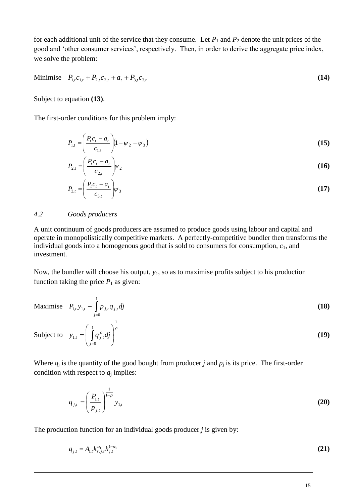for each additional unit of the service that they consume. Let  $P_1$  and  $P_2$  denote the unit prices of the good and 'other consumer services', respectively. Then, in order to derive the aggregate price index, we solve the problem:

Minimise 
$$
P_{1,t}c_{1,t} + P_{2,t}c_{2,t} + a_t + P_{3,t}c_{3,t}
$$
 (14)

Subject to equation **(13)**.

The first-order conditions for this problem imply:

$$
P_{1,t} = \left(\frac{P_t c_t - a_t}{c_{1,t}}\right) (1 - \psi_2 - \psi_3)
$$
 (15)

$$
P_{2,t} = \left(\frac{P_t c_t - a_t}{c_{2,t}}\right) \psi_2
$$
\n(16)

$$
P_{3,t} = \left(\frac{P_t c_t - a_t}{c_{3,t}}\right) \psi_3
$$
 (17)

#### <span id="page-15-0"></span>*4.2 Goods producers*

A unit continuum of goods producers are assumed to produce goods using labour and capital and operate in monopolistically competitive markets. A perfectly-competitive bundler then transforms the individual goods into a homogenous good that is sold to consumers for consumption,  $c_1$ , and investment.

Now, the bundler will choose his output, *y*1, so as to maximise profits subject to his production function taking the price  $P_1$  as given:

Maximise 
$$
P_{1,t} y_{1,t} - \int_{j=0}^{1} p_{j,t} q_{j,t} dj
$$
 (18)  
\nSubject to  $y_{1,t} = \left( \int_{j=0}^{1} q_{j,t}^{\rho} dj \right)^{\frac{1}{\rho}}$  (19)

Where  $q_i$  is the quantity of the good bought from producer *j* and  $p_i$  is its price. The first-order condition with respect to  $q_i$  implies:

$$
q_{j,t} = \left(\frac{P_{1,t}}{P_{j,t}}\right)^{\frac{1}{1-\rho}} y_{1,t}
$$
 (20)

The production function for an individual goods producer *j* is given by:

$$
q_{j,t} = A_{1,t} k_{s,j,t}^{\alpha_1} h_{j,t}^{1-\alpha_1} \tag{21}
$$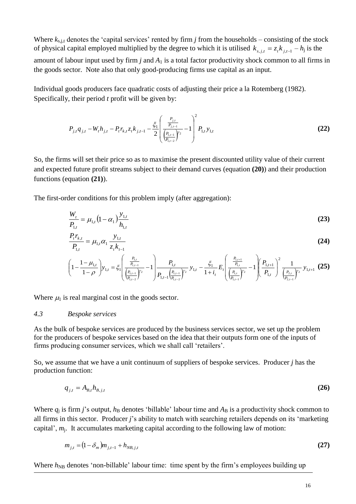Where  $k_{s,i,t}$  denotes the 'capital services' rented by firm *j* from the households – consisting of the stock of physical capital employed multiplied by the degree to which it is utilised  $k_{s,j,t} = z_t k_{j,t-1} - h_j$  is the amount of labour input used by firm *j* and *A*<sup>1</sup> is a total factor productivity shock common to all firms in the goods sector. Note also that only good-producing firms use capital as an input.

Individual goods producers face quadratic costs of adjusting their price a la Rotemberg (1982). Specifically, their period *t* profit will be given by:

$$
P_{j,t}q_{j,t} - W_t h_{j,t} - P_t r_{k,t} z_t k_{j,t-1} - \frac{\xi_1}{2} \left( \frac{\frac{P_{j,t}}{P_{j,t-1}}}{\left(\frac{P_{1,t-1}}{P_{1,t-2}}\right)^2} - 1 \right)^2 P_{1,t} y_{1,t}
$$
(22)

So, the firms will set their price so as to maximise the present discounted utility value of their current and expected future profit streams subject to their demand curves (equation **(20)**) and their production functions (equation **(21)**).

The first-order conditions for this problem imply (after aggregation):

$$
\frac{W_t}{P_{1,t}} = \mu_{1,t} \left( 1 - \alpha_1 \right) \frac{y_{1,t}}{h_{1,t}}
$$
\n(23)

$$
\frac{P_{t}r_{k,t}}{P_{1,t}} = \mu_{1,t}\alpha_1 \frac{y_{1,t}}{z_{t}k_{t-1}}
$$
\n(24)

$$
\left(1-\frac{1-\mu_{1,t}}{1-\rho}\right)y_{1,t} = \xi_1 \left(\frac{\frac{P_{1,t}}{P_{1,t-1}}}{\left(\frac{P_{1,t-1}}{P_{1,t-2}}\right)^{\gamma_2}} - 1\right) \frac{P_{1,t}}{P_{1,t-1}\left(\frac{P_{1,t-1}}{P_{1,t-2}}\right)^{\gamma_2}} y_{1,t} - \frac{\xi_1}{1+i_t} E_t \left(\frac{\frac{P_{1,t+1}}{P_{1,t}}}{\left(\frac{P_{1,t}}{P_{1,t-1}}\right)^{\gamma_2}} - 1\right) \left(\frac{P_{1,t+1}}{P_{1,t}}\right)^2 \frac{1}{\left(\frac{P_{2,t}}{P_{2,t-1}}\right)^{\gamma_2}} y_{1,t+1}
$$
(25)

Where  $\mu_1$  is real marginal cost in the goods sector.

#### <span id="page-16-0"></span>*4.3 Bespoke services*

As the bulk of bespoke services are produced by the business services sector, we set up the problem for the producers of bespoke services based on the idea that their outputs form one of the inputs of firms producing consumer services, which we shall call 'retailers'.

So, we assume that we have a unit continuum of suppliers of bespoke services. Producer *j* has the production function:

$$
q_{j,t} = A_{B,t} h_{B,j,t}
$$
 (26)

Where  $q_i$  is firm *j*'s output,  $h_B$  denotes 'billable' labour time and  $A_B$  is a productivity shock common to all firms in this sector. Producer *j*'s ability to match with searching retailers depends on its 'marketing capital', *m*<sup>j</sup> . It accumulates marketing capital according to the following law of motion:

$$
m_{j,t} = (1 - \delta_m) m_{j,t-1} + h_{NB,j,t}
$$
\n(27)

Where  $h_{NB}$  denotes 'non-billable' labour time: time spent by the firm's employees building up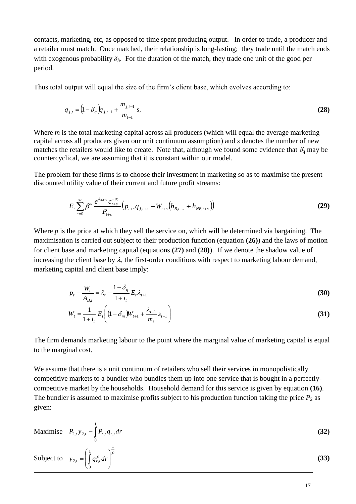contacts, marketing, etc, as opposed to time spent producing output. In order to trade, a producer and a retailer must match. Once matched, their relationship is long-lasting; they trade until the match ends with exogenous probability  $\delta_h$ . For the duration of the match, they trade one unit of the good per period.

Thus total output will equal the size of the firm's client base, which evolves according to:

$$
q_{j,t} = \left(1 - \delta_q\right) q_{j,t-1} + \frac{m_{j,t-1}}{m_{t-1}} s_t
$$
\n(28)

Where *m* is the total marketing capital across all producers (which will equal the average marketing capital across all producers given our unit continuum assumption) and *s* denotes the number of new matches the retailers would like to create. Note that, although we found some evidence that  $\delta_0$  may be countercyclical, we are assuming that it is constant within our model.

The problem for these firms is to choose their investment in marketing so as to maximise the present discounted utility value of their current and future profit streams:

$$
E_{t} \sum_{s=0}^{\infty} \beta^{s} \frac{e^{\varepsilon_{a,t+i}} c_{t+s}^{-\sigma_{c}}}{P_{t+s}} \left( p_{t+s} q_{j,t+s} - W_{t+s} \left( h_{B,t+s} + h_{NB,t+s} \right) \right)
$$
(29)

Where *p* is the price at which they sell the service on, which will be determined via bargaining. The maximisation is carried out subject to their production function (equation **(26)**) and the laws of motion for client base and marketing capital (equations **(27)** and **(28)**). If we denote the shadow value of increasing the client base by  $\lambda$ , the first-order conditions with respect to marketing labour demand, marketing capital and client base imply:

$$
p_t - \frac{W_t}{A_{B,t}} = \lambda_t - \frac{1 - \delta_q}{1 + i_t} E_t \lambda_{t+1}
$$
 (30)

$$
W_{t} = \frac{1}{1+i_{t}} E_{t} \left( \left( 1 - \delta_{m} \right) W_{t+1} + \frac{\lambda_{t+1}}{m_{t}} s_{t+1} \right)
$$
 (31)

The firm demands marketing labour to the point where the marginal value of marketing capital is equal to the marginal cost.

We assume that there is a unit continuum of retailers who sell their services in monopolistically competitive markets to a bundler who bundles them up into one service that is bought in a perfectlycompetitive market by the households. Household demand for this service is given by equation **(16)**. The bundler is assumed to maximise profits subject to his production function taking the price  $P_2$  as given:

Maximise 
$$
P_{2,t} y_{2,t} - \int_{0}^{1} P_{r,t} q_{r,t} dr
$$
 (32)  
Subject to  $y_{2,t} = \left(\int_{0}^{1} q_{r,t}^{\rho} dr\right)^{\frac{1}{\rho}}$  (33)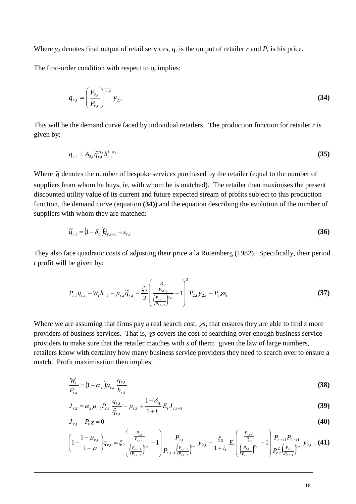Where  $y_2$  denotes final output of retail services,  $q_r$  is the output of retailer *r* and  $P_r$  is his price.

The first-order condition with respect to  $q_r$  implies:

$$
q_{r,t} = \left(\frac{P_{2,t}}{P_{r,t}}\right)^{\frac{1}{1-\rho}} y_{2,t}
$$
 (34)

This will be the demand curve faced by individual retailers. The production function for retailer *r* is given by:

$$
q_{r,t} = A_{2,t} \tilde{q}_{r,t}^{a_2} h_{r,t}^{1-a_2}
$$
\n(35)

Where  $\tilde{q}$  denotes the number of bespoke services purchased by the retailer (equal to the number of suppliers from whom he buys, ie, with whom he is matched). The retailer then maximises the present discounted utility value of its current and future expected stream of profits subject to this production function, the demand curve (equation **(34)**) and the equation describing the evolution of the number of suppliers with whom they are matched:

$$
\widetilde{q}_{r,t} = \left(1 - \delta_q\right) \widetilde{q}_{r,t-1} + s_{r,t} \tag{36}
$$

They also face quadratic costs of adjusting their price a la Rotemberg (1982). Specifically, their period *t* profit will be given by:

$$
P_{r,t}q_{r,t} - W_t h_{r,t} - p_{r,t}\widetilde{q}_{r,t} - \frac{\xi_2}{2} \left( \frac{\frac{P_{r,t}}{P_{r,t-1}}}{\left(\frac{P_{2,t-1}}{P_{2,t-2}}\right)^2} - 1 \right)^2 P_{2,t} y_{2,t} - P_t \chi s_t
$$
\n(37)

Where we are assuming that firms pay a real search cost,  $\chi$ s, that ensures they are able to find *s* more providers of business services. That is,  $\chi$ s covers the cost of searching over enough business service providers to make sure that the retailer matches with *s* of them; given the law of large numbers, retailers know with certainty how many business service providers they need to search over to ensure a match. Profit maximisation then implies:

$$
\frac{W_t}{P_{r,t}} = (1 - \alpha_2) \mu_{r,t} \frac{q_{r,t}}{h_{r,t}}
$$
\n(38)

$$
J_{r,t} = \alpha_2 \mu_{r,t} P_{r,t} \frac{q_{r,t}}{\tilde{q}_{r,t}} - p_{r,t} + \frac{1 - \delta_q}{1 + i_t} E_t J_{r,t+1}
$$
(39)

$$
J_{r,t} - P_t \chi = 0 \tag{40}
$$

$$
\left(1-\frac{1-\mu_{r,t}}{1-\rho}\right)q_{r,t}=\xi_2\left(\frac{\frac{P_{r,t}}{P_{r,t-1}}}{\left(\frac{P_{2,t-1}}{P_{2,t-2}}\right)^{\gamma_2}}-1\right)\frac{P_{2,t}}{P_{r,t-1}\left(\frac{P_{2,t-1}}{P_{2,t-2}}\right)^{\gamma_2}}y_{2,t}-\frac{\xi_2}{1+i_t}E_t\left(\frac{\frac{P_{r,t+1}}{P_{r,t}}}{\left(\frac{P_{2,t}}{P_{2,t-1}}\right)^{\gamma_2}}-1\right)\frac{P_{r,t+1}P_{2,t+1}}{P_{r,t}^2\left(\frac{P_{2,t}}{P_{2,t-1}}\right)^{\gamma_2}}y_{2,t+1}
$$
(41)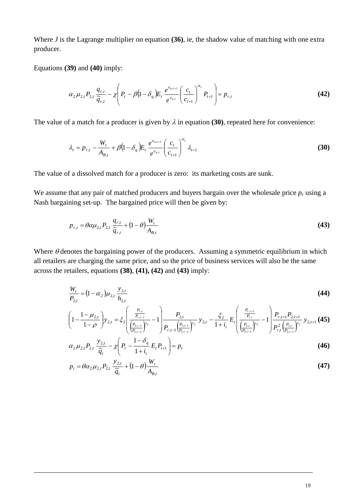Where *J* is the Lagrange multiplier on equation **(36)**, ie, the shadow value of matching with one extra producer.

Equations **(39)** and **(40)** imply:

$$
\alpha_2 \mu_{2,t} P_{2,t} \frac{q_{r,t}}{\tilde{q}_{r,t}} - \chi \left( P_t - \beta \left( 1 - \delta_q \right) E_t \frac{e^{\varepsilon_{a,t+1}}}{e^{\varepsilon_{a,t}}} \left( \frac{c_t}{c_{t+1}} \right)^{\sigma_c} P_{t+1} \right) = p_{r,t}
$$
(42)

The value of a match for a producer is given by  $\lambda$  in equation (30), repeated here for convenience:

$$
\lambda_{t} = p_{r,t} - \frac{W_{t}}{A_{B,t}} + \beta \left( 1 - \delta_{q} \right) E_{t} \frac{e^{\varepsilon_{a,t+1}}}{e^{\varepsilon_{a,t}}} \left( \frac{c_{t}}{c_{t+1}} \right)^{\sigma_{c}} \lambda_{t+1}
$$
\n(30)

The value of a dissolved match for a producer is zero: its marketing costs are sunk.

We assume that any pair of matched producers and buyers bargain over the wholesale price  $p_r$  using a Nash bargaining set-up. The bargained price will then be given by:

$$
p_{r,t} = \theta \alpha \mu_{2,t} P_{2,t} \frac{q_{r,t}}{\tilde{q}_{r,t}} + (1 - \theta) \frac{W_t}{A_{B,t}}
$$
(43)

Where  $\theta$  denotes the bargaining power of the producers. Assuming a symmetric equilibrium in which all retailers are charging the same price, and so the price of business services will also be the same across the retailers, equations **(38)**, **(41), (42)** and **(43)** imply:

$$
\frac{W_t}{P_{2,t}} = (1 - \alpha_2) \mu_{2,t} \frac{y_{2,t}}{h_{2,t}}
$$
\n(44)

$$
\left(1 - \frac{1 - \mu_{2,t}}{1 - \rho}\right) y_{2,t} = \xi_2 \left( \frac{\frac{r_{r,t}}{P_{r,t-1}}}{\left(\frac{P_{2,t-1}}{P_{2,t-2}}\right)^{\gamma_2}} - 1 \right) \frac{P_{2,t}}{P_{r,t-1} \left(\frac{P_{2,t-1}}{P_{2,t-2}}\right)^{\gamma_2}} y_{2,t} - \frac{\xi_2}{1 + i_t} E_t \left( \frac{\frac{r_{r,t+1}}{P_{r,t}}}{\left(\frac{P_{2,t}}{P_{2,t-1}}\right)^{\gamma_2}} - 1 \right) \frac{P_{r,t+1} P_{2,t+1}}{P_{r,t} \left(\frac{P_{2,t}}{P_{2,t-1}}\right)^{\gamma_2}} y_{2,t+1} (45)
$$

$$
\alpha_2 \mu_{2,t} P_{2,t} \frac{y_{2,t}}{\tilde{q}_t} - \chi \left( P_t - \frac{1 - \delta_q}{1 + i_t} E_t P_{t+1} \right) = p_t \tag{46}
$$

$$
p_{t} = \theta \alpha_{2} \mu_{2,t} P_{2,t} \frac{y_{2,t}}{\tilde{q}_{t}} + (1 - \theta) \frac{W_{t}}{A_{B,t}}
$$
(47)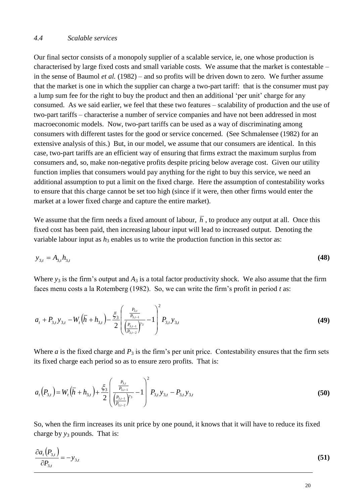#### <span id="page-20-0"></span>*4.4 Scalable services*

Our final sector consists of a monopoly supplier of a scalable service, ie, one whose production is characterised by large fixed costs and small variable costs. We assume that the market is contestable – in the sense of Baumol *et al.* (1982) – and so profits will be driven down to zero. We further assume that the market is one in which the supplier can charge a two-part tariff: that is the consumer must pay a lump sum fee for the right to buy the product and then an additional 'per unit' charge for any consumed. As we said earlier, we feel that these two features – scalability of production and the use of two-part tariffs – characterise a number of service companies and have not been addressed in most macroeconomic models. Now, two-part tariffs can be used as a way of discriminating among consumers with different tastes for the good or service concerned. (See Schmalensee (1982) for an extensive analysis of this.) But, in our model, we assume that our consumers are identical. In this case, two-part tariffs are an efficient way of ensuring that firms extract the maximum surplus from consumers and, so, make non-negative profits despite pricing below average cost. Given our utility function implies that consumers would pay anything for the right to buy this service, we need an additional assumption to put a limit on the fixed charge. Here the assumption of contestability works to ensure that this charge cannot be set too high (since if it were, then other firms would enter the market at a lower fixed charge and capture the entire market).

We assume that the firm needs a fixed amount of labour, h, to produce any output at all. Once this fixed cost has been paid, then increasing labour input will lead to increased output. Denoting the variable labour input as  $h_3$  enables us to write the production function in this sector as:

$$
y_{3,t} = A_{3,t} h_{3,t} \tag{48}
$$

Where  $y_3$  is the firm's output and  $A_3$  is a total factor productivity shock. We also assume that the firm faces menu costs a la Rotemberg (1982). So, we can write the firm's profit in period *t* as:

$$
a_{t} + P_{3,t} y_{3,t} - W_{t} \left(\overline{h} + h_{3,t}\right) - \frac{\xi_{3}}{2} \left(\frac{\frac{P_{3,t}}{P_{3,t-1}}}{\left(\frac{P_{3,t-1}}{P_{3,t-2}}\right)^{2}} - 1\right)^{2} P_{3,t} y_{3,t}
$$
\n
$$
(49)
$$

Where *a* is the fixed charge and  $P_3$  is the firm's per unit price. Contestability ensures that the firm sets its fixed charge each period so as to ensure zero profits. That is:

$$
a_{t}(P_{3,t}) = W_{t}(\overline{h} + h_{3,t}) + \frac{\xi_{3}}{2} \left( \frac{\frac{P_{3,t}}{P_{3,t-1}}}{(\frac{P_{3,t-1}}{P_{3,t-2}})^{s}} - 1 \right)^{2} P_{3,t} y_{3,t} - P_{3,t} y_{3,t}
$$
(50)

So, when the firm increases its unit price by one pound, it knows that it will have to reduce its fixed charge by  $y_3$  pounds. That is:

$$
\frac{\partial a_i(P_{3,t})}{\partial P_{3,t}} = -y_{3,t} \tag{51}
$$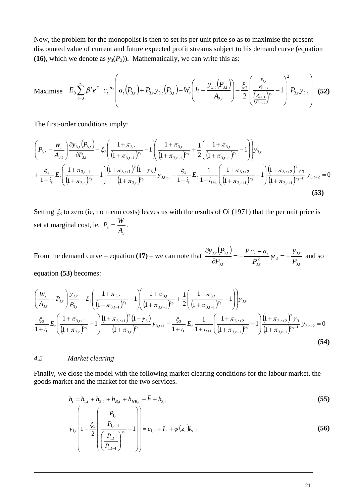Now, the problem for the monopolist is then to set its per unit price so as to maximise the present discounted value of current and future expected profit streams subject to his demand curve (equation **(16)**, which we denote as  $y_3(P_3)$ ). Mathematically, we can write this as:

Maximise 
$$
E_0 \sum_{t=0}^{\infty} \beta^t e^{\varepsilon_{a,t}} c_t^{-\sigma_c} \left( a_t(P_{3,t}) + P_{3,t} y_{3,t}(P_{3,t}) - W_t \left( \overline{h} + \frac{y_{3,t}(P_{3,t})}{A_{3,t}} \right) - \frac{\xi_3}{2} \left( \frac{\frac{P_{3,t}}{P_{3,t-1}}}{\left( \frac{P_{3,t-1}}{P_{3,t-2}} \right)^2} - 1 \right)^2 P_{3,t} y_{3,t} \right)
$$
 (52)

The first-order conditions imply:

$$
\left(P_{3,t} - \frac{W_t}{A_{3,t}}\right) \frac{\partial y_{3,t}(P_{3,t})}{\partial P_{3,t}} - \xi_3 \left(\frac{1 + \pi_{3,t}}{(1 + \pi_{3,t-1})^{\gamma_3}} - 1\right) \left(\frac{1 + \pi_{3,t}}{(1 + \pi_{3,t-1})^{\gamma_3}} + \frac{1}{2} \left(\frac{1 + \pi_{3,t}}{(1 + \pi_{3,t-1})^{\gamma_3}} - 1\right)\right) y_{3,t}
$$
\n
$$
+ \frac{\xi_3}{1 + i_t} E_t \left(\frac{1 + \pi_{3,t+1}}{(1 + \pi_{3,t})^{\gamma_3}} - 1\right) \frac{\left(1 + \pi_{3,t+1}\right)^2 (1 - \gamma_3)}{\left(1 + \pi_{3,t}\right)^{\gamma_3}} y_{3,t+1} - \frac{\xi_3}{1 + i_t} E_t \frac{1}{1 + i_{t+1}} \left(\frac{1 + \pi_{3,t+2}}{(1 + \pi_{3,t+1})^{\gamma_3}} - 1\right) \frac{\left(1 + \pi_{3,t+2}\right)^2 \gamma_3}{\left(1 + \pi_{3,t+1}\right)^{\gamma_3 - 1}} y_{3,t+2} = 0
$$
\n(53)

Setting  $\xi_3$  to zero (ie, no menu costs) leaves us with the results of Oi (1971) that the per unit price is set at marginal cost, ie, 3  $3-\overline{A}$  $P_3 = \frac{W}{I}$ .

From the demand curve – equation  $(17)$  – we can note that  $(P_{3t})$ *t t t*  $t^{i}$   $t^{i}$ *t t t P y P*  $P_{i}c_{i} - a$ *P*  $y_{3t}(P)$ 3, 3,  $\frac{1}{2}$   $\frac{\varphi_3}{3}$  $3,t$   $13,$  $\frac{1}{2s_{12}}(P_{3,t}) = -\frac{P_{t}C_{t} - a_{t}}{2}W_{3} = -\frac{1}{2}$  $\partial$  $\hat{o}$  $-\psi_3 = -\frac{y_{3,t}}{R}$  and so equation **(53)** becomes:

$$
\left(\frac{W_{t}}{A_{3,t}}-P_{3,t}\right)\frac{y_{3,t}}{P_{3,t}}-\xi_{3}\left(\frac{1+\pi_{3,t}}{(1+\pi_{3,t-1})^{r_{3}}}-1\right)\left(\frac{1+\pi_{3,t}}{(1+\pi_{3,t-1})^{r_{3}}}+\frac{1}{2}\left(\frac{1+\pi_{3,t}}{(1+\pi_{3,t-1})^{r_{3}}}-1\right)\right)y_{3,t}
$$
\n
$$
\frac{\xi_{3}}{1+i_{t}}E_{t}\left(\frac{1+\pi_{3,t+1}}{(1+\pi_{3,t})^{r_{3}}}-1\right)\frac{(1+\pi_{3,t+1})^{2}(1-\gamma_{3})}{(1+\pi_{3,t})^{r_{3}}}y_{3,t+1}-\frac{\xi_{3}}{1+i_{t}}E_{t}\frac{1}{1+i_{t+1}}\left(\frac{1+\pi_{3,t+2}}{(1+\pi_{3,t+1})^{r_{3}}}-1\right)\frac{(1+\pi_{3,t+2})^{2}\gamma_{3}}{(1+\pi_{3,t+1})^{r_{3}-1}}y_{3,t+2}=0
$$
\n(54)

#### <span id="page-21-0"></span>*4.5 Market clearing*

Finally, we close the model with the following market clearing conditions for the labour market, the goods market and the market for the two services.

$$
h_{t} = h_{1,t} + h_{2,t} + h_{B,t} + h_{NB,t} + \bar{h} + h_{3,t}
$$
\n
$$
y_{1,t} \left( 1 - \frac{\xi_{1}}{2} \left( \frac{P_{1,t}}{P_{1,t-1}} \right) - 1 \right) = c_{1,t} + I_{t} + \psi(z_{t})k_{t-1}
$$
\n(56)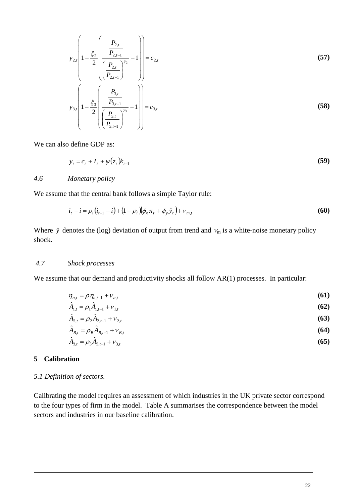$$
y_{2x} \left(1 - \frac{\xi_2}{2} \left( \frac{P_{2x}}{P_{2x-1}} - 1 \right) \right) = c_{2x}
$$
\n(57)  
\n
$$
y_{2x} \left(1 - \frac{\xi_2}{2} \left( \frac{P_{2x}}{P_{2x-1}} - 1 \right) \right) = c_{2x}
$$
\n(58)  
\n
$$
y_{3x} \left(1 - \frac{\xi_3}{2} \left( \frac{P_{3x}}{P_{3x-1}} \right)^{y_2} - 1 \right) = c_{3x}
$$
\n(59)  
\n
$$
y_{1x} \left( \frac{P_{3x}}{P_{3x-1}} \right) = c_{3x}
$$
\n(59)  
\n
$$
y_{1x} = c_t + t, + \psi(z_t)k_{t-1}
$$
\n(59)  
\n*Another apply policy*  
\nthat the central bank follows a simple Taylor rule:  
\n*i*,  $-i = \rho_i(i_{t-1} - i) + (1 - \rho_i) (\rho_x \pi_i + \phi_j \hat{y}_i) + v_{mx}$ \n(60)  
\n\nOnotes the (log) deviation of output from trend and  $v_{in}$  is a white-noise monetary policy  
\n*Shock processes*  
\nthat our demand and productivity shocks all follow AR(1) processes. In particular:  
\n
$$
p_{a,t} = \rho_1 p_{a,t-1} + v_{a,t}
$$
\n(61)  
\n
$$
\hat{A}_{a,t} = \rho_2 A_{3t-1} + v_{3t}
$$
\n(62)  
\n
$$
\hat{A}_{a,t} = \rho_2 A_{3t-1} + v_{3t}
$$
\n(63)  
\n
$$
\hat{A}_{a,t} = \rho_3 A_{3t-1} + v_{3t}
$$
\n(64)  
\n
$$
\hat{A}_{a,t} = \rho_3 A_{3t-1} + v_{3t}
$$
\n(65)  
\n
$$
m \text{ of sectors.}
$$
  
\nthe model requires an assessment of which industries in the UK private sector correspond  
\noppose of firm in the model. Table A summarizes the correspondence between the model  
\nindustries in our baseline calibration.

We can also define GDP as:

 $y_t = c_t + I_t + \psi(z_t)k_{t-1}$ **(59)**

<span id="page-22-0"></span>*4.6 Monetary policy*

We assume that the central bank follows a simple Taylor rule:

$$
i_{t} - i = \rho_{i} (i_{t-1} - i) + (1 - \rho_{i}) (\phi_{\pi} \pi_{t} + \phi_{y} \hat{y}_{t}) + \nu_{m,t}
$$
\n(60)

Where  $\hat{y}$  denotes the (log) deviation of output from trend and  $v_m$  is a white-noise monetary policy shock.

#### <span id="page-22-1"></span>*4.7 Shock processes*

We assume that our demand and productivity shocks all follow AR(1) processes. In particular:

$$
\eta_{a,t} = \rho \eta_{a,t-1} + \nu_{a,t} \tag{61}
$$

$$
\hat{A}_{1,t} = \rho_1 \hat{A}_{1,t-1} + \nu_{1,t} \tag{62}
$$

$$
\hat{A}_{2,t} = \rho_2 \hat{A}_{2,t-1} + V_{2,t} \tag{63}
$$
\n
$$
\hat{A}_{2,t} = \rho_2 \hat{A}_{2,t-1} + V_{2,t} \tag{64}
$$

$$
\hat{A}_{B,t} = \rho_B \hat{A}_{B,t-1} + \nu_{B,t} \tag{64}
$$
\n
$$
\hat{A}_{3,t} = \rho_3 \hat{A}_{3,t-1} + \nu_{3,t} \tag{65}
$$

#### <span id="page-22-2"></span>**5 Calibration**

#### <span id="page-22-3"></span>*5.1 Definition of sectors.*

Calibrating the model requires an assessment of which industries in the UK private sector correspond to the four types of firm in the model. Table A summarises the correspondence between the model sectors and industries in our baseline calibration.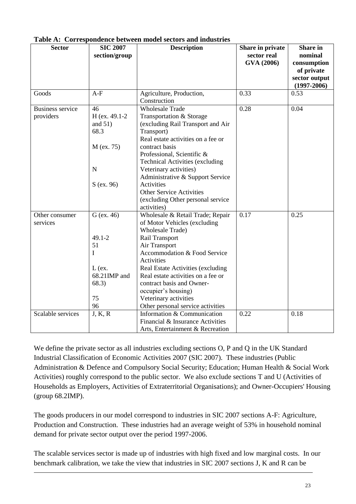| <b>Sector</b>           | <b>SIC 2007</b> | <b>Description</b>                     | Share in private | <b>Share</b> in |
|-------------------------|-----------------|----------------------------------------|------------------|-----------------|
|                         | section/group   |                                        | sector real      | nominal         |
|                         |                 |                                        | GVA (2006)       | consumption     |
|                         |                 |                                        |                  | of private      |
|                         |                 |                                        |                  | sector output   |
|                         |                 |                                        |                  | $(1997 - 2006)$ |
| Goods                   | $A-F$           | Agriculture, Production,               | 0.33             | 0.53            |
|                         |                 | Construction                           |                  |                 |
| <b>Business service</b> | 46              | <b>Wholesale Trade</b>                 | 0.28             | 0.04            |
| providers               | H (ex. 49.1-2)  | Transportation & Storage               |                  |                 |
|                         | and $51)$       | (excluding Rail Transport and Air      |                  |                 |
|                         | 68.3            | Transport)                             |                  |                 |
|                         |                 | Real estate activities on a fee or     |                  |                 |
|                         | M (ex. 75)      | contract basis                         |                  |                 |
|                         |                 | Professional, Scientific &             |                  |                 |
|                         |                 | <b>Technical Activities (excluding</b> |                  |                 |
|                         | $\mathbf N$     | Veterinary activities)                 |                  |                 |
|                         |                 | Administrative & Support Service       |                  |                 |
|                         | S (ex. 96)      | Activities                             |                  |                 |
|                         |                 | <b>Other Service Activities</b>        |                  |                 |
|                         |                 | (excluding Other personal service      |                  |                 |
|                         |                 | activities)                            |                  |                 |
| Other consumer          | G (ex. 46)      | Wholesale & Retail Trade; Repair       | 0.17             | 0.25            |
| services                |                 | of Motor Vehicles (excluding           |                  |                 |
|                         |                 | <b>Wholesale Trade)</b>                |                  |                 |
|                         | $49.1 - 2$      | Rail Transport                         |                  |                 |
|                         | 51              | Air Transport                          |                  |                 |
|                         | I               | Accommodation & Food Service           |                  |                 |
|                         |                 | Activities                             |                  |                 |
|                         | $L$ (ex.        | Real Estate Activities (excluding      |                  |                 |
|                         | 68.21IMP and    | Real estate activities on a fee or     |                  |                 |
|                         | 68.3)           | contract basis and Owner-              |                  |                 |
|                         |                 | occupier's housing)                    |                  |                 |
|                         | 75              | Veterinary activities                  |                  |                 |
|                         | 96              | Other personal service activities      |                  |                 |
| Scalable services       | J, K, R         | Information & Communication            | 0.22             | 0.18            |
|                         |                 | Financial & Insurance Activities       |                  |                 |
|                         |                 | Arts, Entertainment & Recreation       |                  |                 |

**Table A: Correspondence between model sectors and industries**

We define the private sector as all industries excluding sections O, P and Q in the UK Standard Industrial Classification of Economic Activities 2007 (SIC 2007). These industries (Public Administration & Defence and Compulsory Social Security; Education; Human Health & Social Work Activities) roughly correspond to the public sector. We also exclude sections T and U (Activities of Households as Employers, Activities of Extraterritorial Organisations); and Owner-Occupiers' Housing (group 68.2IMP).

The goods producers in our model correspond to industries in SIC 2007 sections A-F: Agriculture, Production and Construction. These industries had an average weight of 53% in household nominal demand for private sector output over the period 1997-2006.

The scalable services sector is made up of industries with high fixed and low marginal costs. In our benchmark calibration, we take the view that industries in SIC 2007 sections J, K and R can be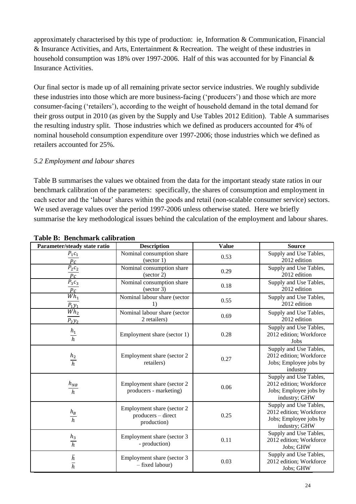approximately characterised by this type of production: ie, Information & Communication, Financial & Insurance Activities, and Arts, Entertainment & Recreation. The weight of these industries in household consumption was 18% over 1997-2006. Half of this was accounted for by Financial & Insurance Activities.

Our final sector is made up of all remaining private sector service industries. We roughly subdivide these industries into those which are more business-facing ('producers') and those which are more consumer-facing ('retailers'), according to the weight of household demand in the total demand for their gross output in 2010 (as given by the Supply and Use Tables 2012 Edition). Table A summarises the resulting industry split. Those industries which we defined as producers accounted for 4% of nominal household consumption expenditure over 1997-2006; those industries which we defined as retailers accounted for 25%.

## <span id="page-24-0"></span>*5.2 Employment and labour shares*

Table B summarises the values we obtained from the data for the important steady state ratios in our benchmark calibration of the parameters: specifically, the shares of consumption and employment in each sector and the 'labour' shares within the goods and retail (non-scalable consumer service) sectors. We used average values over the period 1997-2006 unless otherwise stated. Here we briefly summarise the key methodological issues behind the calculation of the employment and labour shares.

| Parameter/steady state ratio                | <b>Description</b>                                               | <b>Value</b> | <b>Source</b>                                                                                |
|---------------------------------------------|------------------------------------------------------------------|--------------|----------------------------------------------------------------------------------------------|
| $P_1c_1$                                    | Nominal consumption share<br>$(\text{sector } 1)$                | 0.53         | Supply and Use Tables,<br>2012 edition                                                       |
| $\frac{\frac{1}{p_c}}{\frac{P_2 c_2}{p_c}}$ | Nominal consumption share<br>$\left( \text{sector } 2 \right)$   | 0.29         | Supply and Use Tables,<br>2012 edition                                                       |
|                                             | Nominal consumption share<br>$(\text{sector } 3)$                | 0.18         | Supply and Use Tables,<br>2012 edition                                                       |
| $\frac{P_C}{Wh_1}$<br>$\overline{P_1y_1}$   | Nominal labour share (sector<br>1)                               | 0.55         | Supply and Use Tables,<br>2012 edition                                                       |
| $Wh_2$<br>$P_2y_2$                          | Nominal labour share (sector<br>2 retailers)                     | 0.69         | Supply and Use Tables,<br>2012 edition                                                       |
| $\frac{h_1}{h}$                             | Employment share (sector 1)                                      | 0.28         | Supply and Use Tables,<br>2012 edition; Workforce<br>Jobs                                    |
| $\frac{h_2}{h}$                             | Employment share (sector 2)<br>retailers)                        | 0.27         | Supply and Use Tables,<br>2012 edition; Workforce<br>Jobs; Employee jobs by<br>industry      |
| $\frac{h_{NB}}{h}$                          | Employment share (sector 2)<br>producers - marketing)            | 0.06         | Supply and Use Tables,<br>2012 edition; Workforce<br>Jobs; Employee jobs by<br>industry; GHW |
| $\frac{h_B}{h}$                             | Employment share (sector 2)<br>producers - direct<br>production) | 0.25         | Supply and Use Tables,<br>2012 edition; Workforce<br>Jobs; Employee jobs by<br>industry; GHW |
| $\frac{h_3}{h}$                             | Employment share (sector 3<br>- production)                      | 0.11         | Supply and Use Tables,<br>2012 edition; Workforce<br>Jobs; GHW                               |
| $\frac{\overline{h}}{h}$                    | Employment share (sector 3<br>- fixed labour)                    | 0.03         | Supply and Use Tables,<br>2012 edition; Workforce<br>Jobs; GHW                               |

#### **Table B: Benchmark calibration**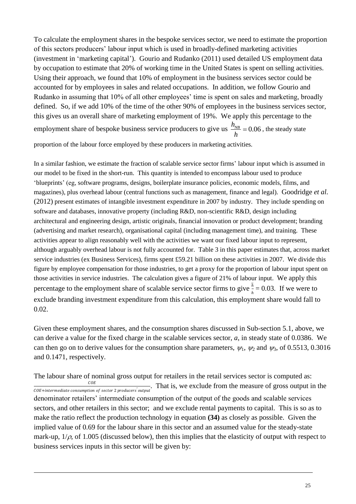To calculate the employment shares in the bespoke services sector, we need to estimate the proportion of this sectors producers' labour input which is used in broadly-defined marketing activities (investment in 'marketing capital'). Gourio and Rudanko (2011) used detailed US employment data by occupation to estimate that 20% of working time in the United States is spent on selling activities. Using their approach, we found that 10% of employment in the business services sector could be accounted for by employees in sales and related occupations. In addition, we follow Gourio and Rudanko in assuming that 10% of all other employees' time is spent on sales and marketing, broadly defined. So, if we add 10% of the time of the other 90% of employees in the business services sector, this gives us an overall share of marketing employment of 19%. We apply this percentage to the employment share of bespoke business service producers to give us  $\frac{h_{NB}}{I} = 0.06$ *h*  $= 0.06$ , the steady state

proportion of the labour force employed by these producers in marketing activities.

In a similar fashion, we estimate the fraction of scalable service sector firms' labour input which is assumed in our model to be fixed in the short-run. This quantity is intended to encompass labour used to produce 'blueprints' (eg, software programs, designs, boilerplate insurance policies, economic models, films, and magazines), plus overhead labour (central functions such as management, finance and legal). Goodridge *et al.* (2012) present estimates of intangible investment expenditure in 2007 by industry. They include spending on software and databases, innovative property (including R&D, non-scientific R&D, design including architectural and engineering design, artistic originals, financial innovation or product development; branding (advertising and market research), organisational capital (including management time), and training. These activities appear to align reasonably well with the activities we want our fixed labour input to represent, although arguably overhead labour is not fully accounted for. Table 3 in this paper estimates that, across market service industries (ex Business Services), firms spent £59.21 billion on these activities in 2007. We divide this figure by employee compensation for those industries, to get a proxy for the proportion of labour input spent on those activities in service industries. The calculation gives a figure of 21% of labour input. We apply this percentage to the employment share of scalable service sector firms to give  $\frac{\bar{h}}{h} = 0.03$ . If we were to exclude branding investment expenditure from this calculation, this employment share would fall to 0.02.

Given these employment shares, and the consumption shares discussed in Sub-section 5.1, above, we can derive a value for the fixed charge in the scalable services sector, *a*, in steady state of 0.0386. We can then go on to derive values for the consumption share parameters,  $\psi_1$ ,  $\psi_2$  and  $\psi_3$ , of 0.5513, 0.3016 and 0.1471, respectively.

The labour share of nominal gross output for retailers in the retail services sector is computed as: С  $\frac{CDE}{CDE + intermediate consumption of sector 2 producers' output}$ . That is, we exclude from the measure of gross output in the denominator retailers' intermediate consumption of the output of the goods and scalable services sectors, and other retailers in this sector; and we exclude rental payments to capital. This is so as to make the ratio reflect the production technology in equation **(34)** as closely as possible. Given the implied value of 0.69 for the labour share in this sector and an assumed value for the steady-state mark-up,  $1/\rho$ , of 1.005 (discussed below), then this implies that the elasticity of output with respect to business services inputs in this sector will be given by: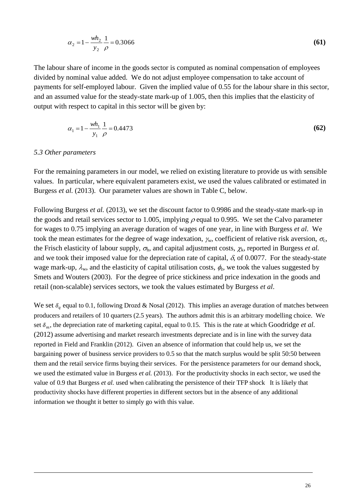$$
\alpha_2 = 1 - \frac{wh_2}{y_2} \frac{1}{\rho} = 0.3066
$$
\n(61)

The labour share of income in the goods sector is computed as nominal compensation of employees divided by nominal value added. We do not adjust employee compensation to take account of payments for self-employed labour. Given the implied value of 0.55 for the labour share in this sector, and an assumed value for the steady-state mark-up of 1.005, then this implies that the elasticity of output with respect to capital in this sector will be given by:

$$
\alpha_1 = 1 - \frac{wh_1}{y_1} \frac{1}{\rho} = 0.4473
$$
\n(62)

#### <span id="page-26-0"></span>*5.3 Other parameters*

For the remaining parameters in our model, we relied on existing literature to provide us with sensible values. In particular, where equivalent parameters exist, we used the values calibrated or estimated in Burgess *et al.* (2013). Our parameter values are shown in Table C, below.

Following Burgess *et al.* (2013), we set the discount factor to 0.9986 and the steady-state mark-up in the goods and retail services sector to 1.005, implying  $\rho$  equal to 0.995. We set the Calvo parameter for wages to 0.75 implying an average duration of wages of one year, in line with Burgess *et al*. We took the mean estimates for the degree of wage indexation,  $\chi_{w}$ , coefficient of relative risk aversion,  $\sigma_{c}$ , the Frisch elasticity of labour supply,  $\sigma_h$ , and capital adjustment costs,  $\chi_k$ , reported in Burgess *et al.* and we took their imposed value for the depreciation rate of capital,  $\delta$ , of 0.0077. For the steady-state wage mark-up,  $\lambda_w$ , and the elasticity of capital utilisation costs,  $\phi_z$ , we took the values suggested by Smets and Wouters (2003). For the degree of price stickiness and price indexation in the goods and retail (non-scalable) services sectors, we took the values estimated by Burgess *et al*.

 $\frac{1}{6}$  on 3066<br>
per in the goods sector is computed as nominal compensation of employ<br>
andded. We do not adjust employee compensation to take account of<br>
eadded. We do not adjust employee compensation to take account o We set  $\delta_a$  equal to 0.1, following Drozd & Nosal (2012). This implies an average duration of matches between producers and retailers of 10 quarters (2.5 years). The authors admit this is an arbitrary modelling choice. We set  $\delta_m$ , the depreciation rate of marketing capital, equal to 0.15. This is the rate at which Goodridge *et al.* (2012) assume advertising and market research investments depreciate and is in line with the survey data reported in Field and Franklin (2012). Given an absence of information that could help us, we set the bargaining power of business service providers to 0.5 so that the match surplus would be split 50:50 between them and the retail service firms buying their services. For the persistence parameters for our demand shock, we used the estimated value in Burgess *et al.* (2013). For the productivity shocks in each sector, we used the value of 0.9 that Burgess *et al.* used when calibrating the persistence of their TFP shock It is likely that productivity shocks have different properties in different sectors but in the absence of any additional information we thought it better to simply go with this value.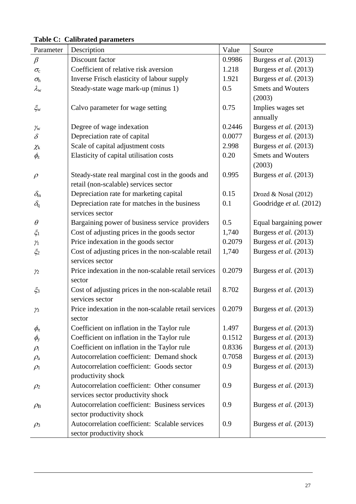| Parameter           | capic C. Campratea parameters<br>Description                                | Value  | Source                         |
|---------------------|-----------------------------------------------------------------------------|--------|--------------------------------|
| $\beta$             | Discount factor                                                             | 0.9986 | Burgess et al. (2013)          |
| $\sigma_{\rm c}$    | Coefficient of relative risk aversion                                       | 1.218  | Burgess et al. (2013)          |
| $\sigma_{\rm h}$    | Inverse Frisch elasticity of labour supply                                  | 1.921  | Burgess et al. (2013)          |
| $\lambda_{\rm w}$   | Steady-state wage mark-up (minus 1)                                         | 0.5    | <b>Smets and Wouters</b>       |
|                     |                                                                             |        | (2003)                         |
| $\xi_{\rm w}$       | Calvo parameter for wage setting                                            | 0.75   | Implies wages set              |
|                     |                                                                             |        | annually                       |
| $\chi_{\rm w}$      | Degree of wage indexation                                                   | 0.2446 | Burgess et al. (2013)          |
| $\delta$            | Depreciation rate of capital                                                | 0.0077 | Burgess et al. (2013)          |
| $\chi_{\rm k}$      | Scale of capital adjustment costs                                           | 2.998  | Burgess et al. (2013)          |
| $\phi_{\rm z}$      | Elasticity of capital utilisation costs                                     | 0.20   | <b>Smets and Wouters</b>       |
|                     |                                                                             |        | (2003)                         |
| $\rho$              | Steady-state real marginal cost in the goods and                            | 0.995  | Burgess et al. (2013)          |
|                     | retail (non-scalable) services sector                                       |        |                                |
| $\delta_{\rm m}$    | Depreciation rate for marketing capital                                     | 0.15   | Drozd & Nosal (2012)           |
| $\delta_\mathrm{q}$ | Depreciation rate for matches in the business                               | 0.1    | Goodridge et al. (2012)        |
|                     | services sector                                                             |        |                                |
| $\theta$            | Bargaining power of business service providers                              | 0.5    | Equal bargaining power         |
| $\xi_1$             | Cost of adjusting prices in the goods sector                                | 1,740  | Burgess et al. (2013)          |
| $\gamma_1$          | Price indexation in the goods sector                                        | 0.2079 | Burgess et al. (2013)          |
| $\xi_2$             | Cost of adjusting prices in the non-scalable retail                         | 1,740  | Burgess et al. (2013)          |
|                     | services sector                                                             |        |                                |
| $\gamma_2$          | Price indexation in the non-scalable retail services                        | 0.2079 | Burgess et al. (2013)          |
|                     | sector                                                                      |        |                                |
| $\xi_3$             | Cost of adjusting prices in the non-scalable retail                         | 8.702  | Burgess et al. (2013)          |
|                     | services sector                                                             |        |                                |
| $\gamma_3$          | Price indexation in the non-scalable retail services $\vert 0.2079 \rangle$ |        | Burgess <i>et al.</i> (2013)   |
|                     | sector                                                                      |        |                                |
| $\phi_{\pi}$        | Coefficient on inflation in the Taylor rule                                 | 1.497  | Burgess et al. (2013)          |
| $\phi_{y}$          | Coefficient on inflation in the Taylor rule                                 | 0.1512 | Burgess et al. (2013)          |
| $\rho_{\text{i}}$   | Coefficient on inflation in the Taylor rule                                 | 0.8336 | Burgess <i>et al.</i> $(2013)$ |
| $\rho_{\rm a}$      | Autocorrelation coefficient: Demand shock                                   | 0.7058 | Burgess et al. (2013)          |
| $\rho_1$            | Autocorrelation coefficient: Goods sector                                   | 0.9    | Burgess et al. (2013)          |
|                     | productivity shock                                                          |        |                                |
| $\rho_2$            | Autocorrelation coefficient: Other consumer                                 | 0.9    | Burgess et al. (2013)          |
|                     | services sector productivity shock                                          |        |                                |
| $\rho_{\text{B}}$   | Autocorrelation coefficient: Business services                              | 0.9    | Burgess et al. (2013)          |
|                     | sector productivity shock                                                   |        |                                |
| $\rho_3$            | Autocorrelation coefficient: Scalable services                              | 0.9    | Burgess et al. (2013)          |
|                     | sector productivity shock                                                   |        |                                |

## **Table C: Calibrated parameters**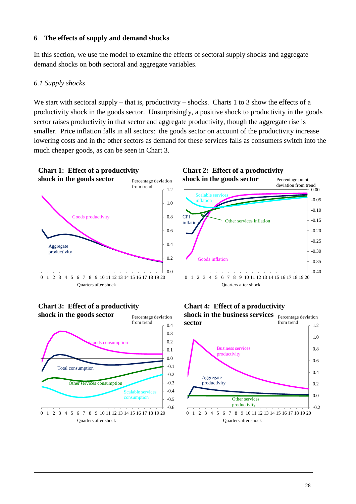### <span id="page-28-0"></span>**6 The effects of supply and demand shocks**

In this section, we use the model to examine the effects of sectoral supply shocks and aggregate demand shocks on both sectoral and aggregate variables.

## <span id="page-28-1"></span>*6.1 Supply shocks*

We start with sectoral supply – that is, productivity – shocks. Charts 1 to 3 show the effects of a productivity shock in the goods sector. Unsurprisingly, a positive shock to productivity in the goods sector raises productivity in that sector and aggregate productivity, though the aggregate rise is smaller. Price inflation falls in all sectors: the goods sector on account of the productivity increase lowering costs and in the other sectors as demand for these services falls as consumers switch into the much cheaper goods, as can be seen in Chart 3.



**Chart 3: Effect of a productivity** 







## **Chart 4: Effect of a productivity**

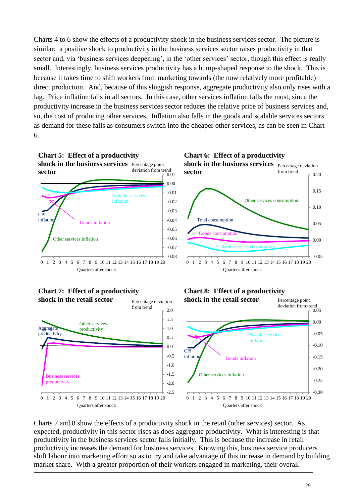Charts 4 to 6 show the effects of a productivity shock in the business services sector. The picture is similar: a positive shock to productivity in the business services sector raises productivity in that sector and, via 'business services deepening', in the 'other services' sector, though this effect is really small. Interestingly, business services productivity has a hump-shaped response to the shock. This is because it takes time to shift workers from marketing towards (the now relatively more profitable) direct production. And, because of this sluggish response, aggregate productivity also only rises with a lag. Price inflation falls in all sectors. In this case, other services inflation falls the most, since the productivity increase in the business services sector reduces the relative price of business services and, so, the cost of producing other services. Inflation also falls in the goods and scalable services sectors as demand for these falls as consumers switch into the cheaper other services, as can be seen in Chart 6.









## **Chart 8: Effect of a productivity**



Charts 7 and 8 show the effects of a productivity shock in the retail (other services) sector. As expected, productivity in this sector rises as does aggregate productivity. What is interesting is that productivity in the business services sector falls initially. This is because the increase in retail productivity increases the demand for business services. Knowing this, business service producers shift labour into marketing effort so as to try and take advantage of this increase in demand by building market share. With a greater proportion of their workers engaged in marketing, their overall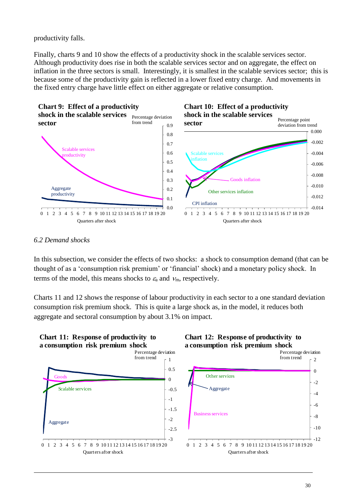productivity falls.

Finally, charts 9 and 10 show the effects of a productivity shock in the scalable services sector. Although productivity does rise in both the scalable services sector and on aggregate, the effect on inflation in the three sectors is small. Interestingly, it is smallest in the scalable services sector; this is because some of the productivity gain is reflected in a lower fixed entry charge. And movements in the fixed entry charge have little effect on either aggregate or relative consumption.



#### <span id="page-30-0"></span>*6.2 Demand shocks*

In this subsection, we consider the effects of two shocks: a shock to consumption demand (that can be thought of as a 'consumption risk premium' or 'financial' shock) and a monetary policy shock. In terms of the model, this means shocks to  $\varepsilon_a$  and  $v_m$ , respectively.

Charts 11 and 12 shows the response of labour productivity in each sector to a one standard deviation consumption risk premium shock. This is quite a large shock as, in the model, it reduces both aggregate and sectoral consumption by about 3.1% on impact.

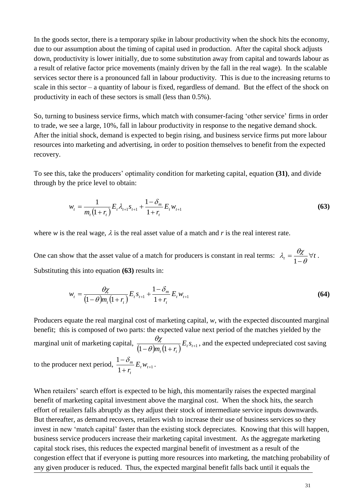In the goods sector, there is a temporary spike in labour productivity when the shock hits the economy, due to our assumption about the timing of capital used in production. After the capital shock adjusts down, productivity is lower initially, due to some substitution away from capital and towards labour as a result of relative factor price movements (mainly driven by the fall in the real wage). In the scalable services sector there is a pronounced fall in labour productivity. This is due to the increasing returns to scale in this sector – a quantity of labour is fixed, regardless of demand. But the effect of the shock on productivity in each of these sectors is small (less than 0.5%).

So, turning to business service firms, which match with consumer-facing 'other service' firms in order to trade, we see a large, 10%, fall in labour productivity in response to the negative demand shock. After the initial shock, demand is expected to begin rising, and business service firms put more labour resources into marketing and advertising, in order to position themselves to benefit from the expected recovery.

To see this, take the producers' optimality condition for marketing capital, equation **(31)**, and divide through by the price level to obtain:

$$
w_{t} = \frac{1}{m_{t}(1+r_{t})} E_{t} \lambda_{t+1} S_{t+1} + \frac{1-\delta_{m}}{1+r_{t}} E_{t} w_{t+1}
$$
\n(63)

where *w* is the real wage,  $\lambda$  is the real asset value of a match and *r* is the real interest rate.

One can show that the asset value of a match for producers is constant in real terms:  $\lambda_t = \frac{v}{1-\theta} \forall t$  $=\frac{v_{\lambda}}{1-\theta}$  $\lambda_t = \frac{\theta \chi}{1 - \theta}$ . Substituting this into equation **(63)** results in:

$$
w_{t} = \frac{\theta \chi}{(1-\theta)m_{t}(1+r_{t})} E_{t} s_{t+1} + \frac{1-\delta_{m}}{1+r_{t}} E_{t} w_{t+1}
$$
(64)

Producers equate the real marginal cost of marketing capital, *w*, with the expected discounted marginal benefit; this is composed of two parts: the expected value next period of the matches yielded by the marginal unit of marketing capital,  $\sqrt{(1-\theta)m_{t}(1+r_{t})}^{L_{t}s_{t+1}}$  $\mathbf{u}_t$  **t**  $\mathbf{u}_t$  $E<sub>t</sub>$ *s*  $\theta$ *m*<sub>t</sub> $(1+r)$  $\frac{\theta \chi}{\sqrt{2}} E_{t} s_{t+1}$ , and the expected undepreciated cost saving to the producer next period,  $\frac{1-\sigma_m}{1+r_t}E_t w_{t+1}$ 1  $+\overline{r_{t}}^{\mathbf{L}_{t}W_{t+1}}$  $\overline{a}$ *t t t*  $\frac{m}{\epsilon}E_{t}w$ *r*  $\frac{\mathcal{S}_m}{\mathcal{F}}E_{_t} w_{_{t+1}}$  .

When retailers' search effort is expected to be high, this momentarily raises the expected marginal benefit of marketing capital investment above the marginal cost. When the shock hits, the search effort of retailers falls abruptly as they adjust their stock of intermediate service inputs downwards. But thereafter, as demand recovers, retailers wish to increase their use of business services so they invest in new 'match capital' faster than the existing stock depreciates. Knowing that this will happen, business service producers increase their marketing capital investment. As the aggregate marketing capital stock rises, this reduces the expected marginal benefit of investment as a result of the congestion effect that if everyone is putting more resources into marketing, the matching probability of any given producer is reduced. Thus, the expected marginal benefit falls back until it equals the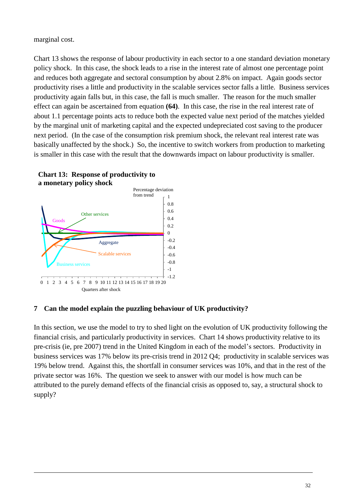marginal cost.

Chart 13 shows the response of labour productivity in each sector to a one standard deviation monetary policy shock. In this case, the shock leads to a rise in the interest rate of almost one percentage point and reduces both aggregate and sectoral consumption by about 2.8% on impact. Again goods sector productivity rises a little and productivity in the scalable services sector falls a little. Business services productivity again falls but, in this case, the fall is much smaller. The reason for the much smaller effect can again be ascertained from equation **(64)**. In this case, the rise in the real interest rate of about 1.1 percentage points acts to reduce both the expected value next period of the matches yielded by the marginal unit of marketing capital and the expected undepreciated cost saving to the producer next period. (In the case of the consumption risk premium shock, the relevant real interest rate was basically unaffected by the shock.) So, the incentive to switch workers from production to marketing is smaller in this case with the result that the downwards impact on labour productivity is smaller.





#### <span id="page-32-0"></span>**7 Can the model explain the puzzling behaviour of UK productivity?**

In this section, we use the model to try to shed light on the evolution of UK productivity following the financial crisis, and particularly productivity in services. Chart 14 shows productivity relative to its pre-crisis (ie, pre 2007) trend in the United Kingdom in each of the model's sectors. Productivity in business services was 17% below its pre-crisis trend in 2012 Q4; productivity in scalable services was 19% below trend. Against this, the shortfall in consumer services was 10%, and that in the rest of the private sector was 16%. The question we seek to answer with our model is how much can be attributed to the purely demand effects of the financial crisis as opposed to, say, a structural shock to supply?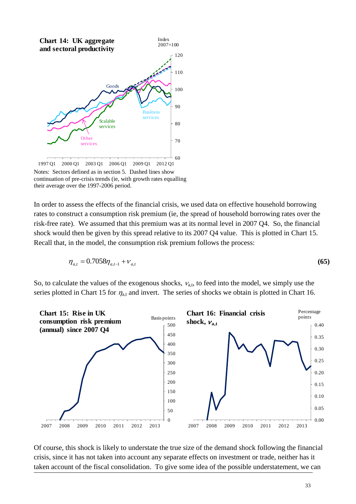

Notes: Sectors defined as in section 5. Dashed lines show continuation of pre-crisis trends (ie, with growth rates equalling their average over the 1997-2006 period.

In order to assess the effects of the financial crisis, we used data on effective household borrowing rates to construct a consumption risk premium (ie, the spread of household borrowing rates over the risk-free rate). We assumed that this premium was at its normal level in 2007 Q4. So, the financial shock would then be given by this spread relative to its 2007 Q4 value. This is plotted in Chart 15. Recall that, in the model, the consumption risk premium follows the process:

$$
\eta_{a,t} = 0.7058\eta_{a,t-1} + \nu_{a,t} \tag{65}
$$

So, to calculate the values of the exogenous shocks,  $v_{a,t}$ , to feed into the model, we simply use the series plotted in Chart 15 for  $\eta_{a,t}$  and invert. The series of shocks we obtain is plotted in Chart 16.



Of course, this shock is likely to understate the true size of the demand shock following the financial crisis, since it has not taken into account any separate effects on investment or trade, neither has it taken account of the fiscal consolidation. To give some idea of the possible understatement, we can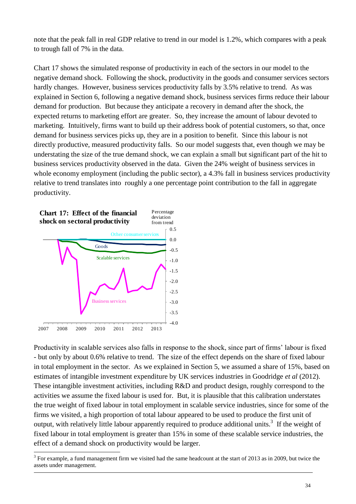note that the peak fall in real GDP relative to trend in our model is 1.2%, which compares with a peak to trough fall of 7% in the data.

Chart 17 shows the simulated response of productivity in each of the sectors in our model to the negative demand shock. Following the shock, productivity in the goods and consumer services sectors hardly changes. However, business services productivity falls by 3.5% relative to trend. As was explained in Section 6, following a negative demand shock, business services firms reduce their labour demand for production. But because they anticipate a recovery in demand after the shock, the expected returns to marketing effort are greater. So, they increase the amount of labour devoted to marketing. Intuitively, firms want to build up their address book of potential customers, so that, once demand for business services picks up, they are in a position to benefit. Since this labour is not directly productive, measured productivity falls. So our model suggests that, even though we may be understating the size of the true demand shock, we can explain a small but significant part of the hit to business services productivity observed in the data. Given the 24% weight of business services in whole economy employment (including the public sector), a 4.3% fall in business services productivity relative to trend translates into roughly a one percentage point contribution to the fall in aggregate productivity.



-

Productivity in scalable services also falls in response to the shock, since part of firms' labour is fixed - but only by about 0.6% relative to trend. The size of the effect depends on the share of fixed labour in total employment in the sector. As we explained in Section 5, we assumed a share of 15%, based on estimates of intangible investment expenditure by UK services industries in Goodridge *et al* (2012). These intangible investment activities, including R&D and product design, roughly correspond to the activities we assume the fixed labour is used for. But, it is plausible that this calibration understates the true weight of fixed labour in total employment in scalable service industries, since for some of the firms we visited, a high proportion of total labour appeared to be used to produce the first unit of output, with relatively little labour apparently required to produce additional units.<sup>3</sup> If the weight of fixed labour in total employment is greater than 15% in some of these scalable service industries, the effect of a demand shock on productivity would be larger.

 $3$  For example, a fund management firm we visited had the same headcount at the start of 2013 as in 2009, but twice the assets under management.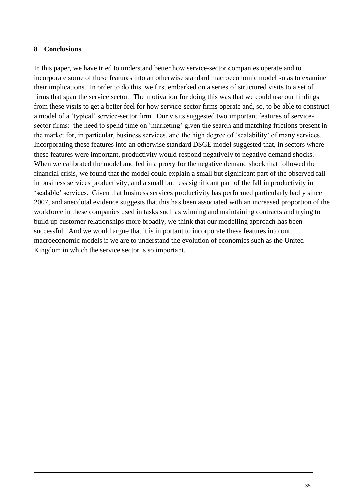#### <span id="page-35-0"></span>**8 Conclusions**

In this paper, we have tried to understand better how service-sector companies operate and to incorporate some of these features into an otherwise standard macroeconomic model so as to examine their implications. In order to do this, we first embarked on a series of structured visits to a set of firms that span the service sector. The motivation for doing this was that we could use our findings from these visits to get a better feel for how service-sector firms operate and, so, to be able to construct a model of a 'typical' service-sector firm. Our visits suggested two important features of servicesector firms: the need to spend time on 'marketing' given the search and matching frictions present in the market for, in particular, business services, and the high degree of 'scalability' of many services. Incorporating these features into an otherwise standard DSGE model suggested that, in sectors where these features were important, productivity would respond negatively to negative demand shocks. When we calibrated the model and fed in a proxy for the negative demand shock that followed the financial crisis, we found that the model could explain a small but significant part of the observed fall in business services productivity, and a small but less significant part of the fall in productivity in 'scalable' services. Given that business services productivity has performed particularly badly since 2007, and anecdotal evidence suggests that this has been associated with an increased proportion of the workforce in these companies used in tasks such as winning and maintaining contracts and trying to build up customer relationships more broadly, we think that our modelling approach has been successful. And we would argue that it is important to incorporate these features into our macroeconomic models if we are to understand the evolution of economies such as the United Kingdom in which the service sector is so important.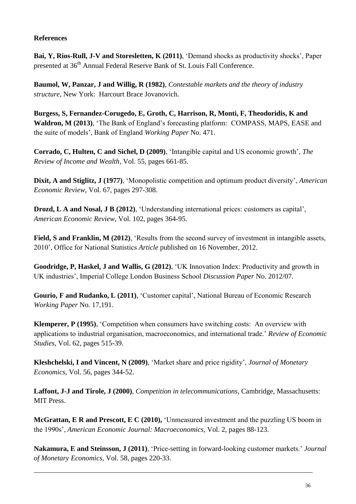## <span id="page-36-0"></span>**References**

**Bai, Y, Rios-Rull, J-V and Storesletten, K (2011)**, 'Demand shocks as productivity shocks', Paper presented at 36<sup>th</sup> Annual Federal Reserve Bank of St. Louis Fall Conference.

**Baumol, W, Panzar, J and Willig, R (1982)**, *Contestable markets and the theory of industry structure*, New York: Harcourt Brace Jovanovich.

**Burgess, S, Fernandez-Corugedo, E, Groth, C, Harrison, R, Monti, F, Theodoridis, K and Waldron, M (2013)**, 'The Bank of England's forecasting platform: COMPASS, MAPS, EASE and the suite of models', Bank of England *Working Paper* No. 471.

**Corrado, C, Hulten, C and Sichel, D (2009)**, 'Intangible capital and US economic growth', *The Review of Income and Wealth*, Vol. 55, pages 661-85.

**Dixit, A and Stiglitz, J (1977)**, 'Monopolistic competition and optimum product diversity', *American Economic Review*, Vol. 67, pages 297-308.

**Drozd, L A and Nosal, J B (2012)**, 'Understanding international prices: customers as capital', *American Economic Review*, Vol. 102, pages 364-95.

**Field, S and Franklin, M (2012)**, 'Results from the second survey of investment in intangible assets, 2010', Office for National Statistics *Article* published on 16 November, 2012.

**Goodridge, P, Haskel, J and Wallis, G (2012)**, 'UK Innovation Index: Productivity and growth in UK industries', Imperial College London Business School *Discussion Paper* No. 2012/07.

**Gourio, F and Rudanko, L (2011)**, 'Customer capital', National Bureau of Economic Research *Working Paper* No. 17,191.

**Klemperer, P (1995)**, 'Competition when consumers have switching costs: An overview with applications to industrial organisation, macroeconomics, and international trade.' *Review of Economic Studies*, Vol. 62, pages 515-39.

**Kleshchelski, I and Vincent, N (2009)**, 'Market share and price rigidity', *Journal of Monetary Economics*, Vol. 56, pages 344-52.

**Laffont, J-J and Tirole, J (2000)**, *Competition in telecommunications*, Cambridge, Massachusetts: MIT Press.

**McGrattan, E R and Prescott, E C (2010),** 'Unmeasured investment and the puzzling US boom in the 1990s', *American Economic Journal: Macroeconomics*, Vol. 2, pages 88-123.

**Nakamura, E and Steinsson, J (2011)**, 'Price-setting in forward-looking customer markets.' *Journal of Monetary Economics*, Vol. 58, pages 220-33.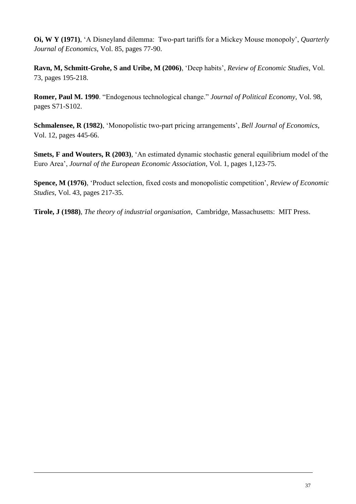**Oi, W Y (1971)**, 'A Disneyland dilemma: Two-part tariffs for a Mickey Mouse monopoly', *Quarterly Journal of Economics*, Vol. 85, pages 77-90.

**Ravn, M, Schmitt-Grohe, S and Uribe, M (2006)**, 'Deep habits', *Review of Economic Studies*, Vol. 73, pages 195-218.

**Romer, Paul M. 1990**. "Endogenous technological change." *Journal of Political Economy*, Vol. 98, pages S71-S102.

**Schmalensee, R (1982)**, 'Monopolistic two-part pricing arrangements', *Bell Journal of Economics*, Vol. 12, pages 445-66.

**Smets, F and Wouters, R (2003)**, 'An estimated dynamic stochastic general equilibrium model of the Euro Area', *Journal of the European Economic Association*, Vol. 1, pages 1,123-75.

**Spence, M (1976)**, 'Product selection, fixed costs and monopolistic competition', *Review of Economic Studies*, Vol. 43, pages 217-35.

**Tirole, J (1988)**, *The theory of industrial organisation*, Cambridge, Massachusetts: MIT Press.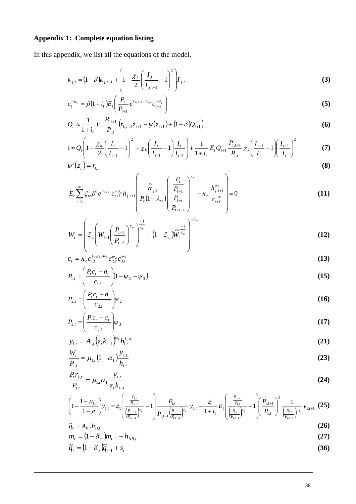## <span id="page-38-0"></span>**Appendix 1: Complete equation listing**

In this appendix, we list all the equations of the model.

$$
k_{j,t} = (1 - \delta)k_{j,t-1} + \left(1 - \frac{\chi_k}{2} \left(\frac{I_{j,t}}{I_{j,t-1}} - 1\right)^2\right)I_{j,t}
$$
(3)

$$
c_t^{-\sigma_c} = \beta \left(1 + i_t\right) E_t \left(\frac{P_t}{P_{t+1}} e^{\varepsilon_{a,t+1} - \varepsilon_{a,t}} c_{t+1}^{-\sigma_c}\right)
$$
\n<sup>(5)</sup>

$$
Q_{t} \approx \frac{1}{1+i_{t}} E_{t} \frac{P_{1,t+1}}{P_{1,t}} \left( r_{k,t+1} z_{t+1} - \psi(z_{t+1}) + (1-\delta) Q_{t+1} \right)
$$
(6)

$$
1 \approx Q_{t} \left( 1 - \frac{\chi_{k}}{2} \left( \frac{I_{t}}{I_{t-1}} - 1 \right)^{2} - \chi_{k} \left( \frac{I_{t}}{I_{t-1}} - 1 \right) \frac{I_{t}}{I_{t-1}} \right) + \frac{1}{1 + i_{t}} E_{t} Q_{t+1} \frac{P_{1,t+1}}{P_{1,t}} \chi_{k} \left( \frac{I_{t+1}}{I_{t}} - 1 \right) \left( \frac{I_{t+1}}{I_{t}} \right)^{2} \tag{7}
$$
\n
$$
\psi'(z_{t}) = r_{k,t} \tag{8}
$$

$$
E_{t} \sum_{i=1}^{\infty} \xi_{i}^{i} \beta^{i} e^{\epsilon_{a,t+i}} c_{t-i}^{-\sigma_{c}} h_{i,t+i} \left( \frac{\tilde{W}_{j,t}}{\frac{\tilde{W}_{j,t}}{\tilde{W}_{j,t+i}}} \left( \frac{P_{t}}{P_{t-1}} \right)^{\gamma_{w}} - \kappa_{h} \frac{h_{j,t+i}^{\sigma_{h}}}{-\kappa_{h-i}} \right) = 0 \tag{11}
$$

$$
E_{t} \sum_{i=0} \xi_{w}^{i} \beta^{i} e^{\varepsilon_{a,t+i}} c_{t+i}^{-\sigma_{c}} h_{j,t+i} \left( \frac{w_{j,t}}{P_{t}(1+\lambda_{w})} \right) \left( \frac{P_{t-1}}{P_{t+i}} \right) - \kappa_{h} \frac{n_{j,t+i}}{c_{t+i}^{-\sigma_{c}}} = 0
$$
\n(11)

$$
W_t = \left(\xi_w \left(W_{t-1} \left(\frac{P_{t-1}}{P_{t-2}}\right)^{\gamma_w}\right)^{\overline{\lambda_w}} + \left(1 - \xi_w\right) \widetilde{W}_t^{\frac{-1}{\lambda_w}}\right)
$$
(12)

$$
c_{t} = \kappa_{c} c_{1,t}^{1-\psi_{2}-\psi_{3}} c_{2,t}^{\psi_{2}} c_{3,t}^{\psi_{3}}
$$
\n
$$
(13)
$$

$$
P_{1,t} = \left(\frac{P_t c_t - a_t}{c_{1,t}}\right) (1 - \psi_2 - \psi_3)
$$
 (15)

$$
P_{2,t} = \left(\frac{P_t c_t - a_t}{c_{2,t}}\right) \psi_2
$$
 (16)

$$
P_{3,t} = \left(\frac{P_t c_t - a_t}{c_{3,t}}\right) V_3
$$
 (17)

$$
y_{1,t} = A_{1,t} \left( z_t k_{t-1} \right)^{\alpha_1} h_{1,t}^{1-\alpha_1}
$$
\n
$$
W_t \qquad (1 \qquad y_{1,t} \qquad (21)
$$

$$
\frac{W_t}{P_{1,t}} = \mu_{1,t} \left( 1 - \alpha_1 \right) \frac{y_{1,t}}{h_{1,t}}
$$
\n(23)

$$
\frac{P_{t}r_{k,t}}{P_{1,t}} = \mu_{1,t}\alpha_1 \frac{y_{1,t}}{z_{t}k_{t-1}}
$$
\n(24)

$$
\left(1 - \frac{1 - \mu_{1,t}}{1 - \rho}\right) y_{1,t} = \xi_1 \left(\frac{\frac{P_{1,t}}{P_{1,t-1}}}{\left(\frac{P_{1,t-1}}{P_{1,t-2}}\right)^{\gamma_2}} - 1\right) \frac{P_{1,t}}{P_{1,t-1} \left(\frac{P_{1,t-1}}{P_{1,t-2}}\right)^{\gamma_2}} y_{1,t} - \frac{\xi_1}{1 + i_t} E_t \left(\frac{\frac{P_{1,t+1}}{P_{1,t}}}{\left(\frac{P_{1,t}}{P_{1,t-1}}\right)^{\gamma_2}} - 1\right) \left(\frac{P_{1,t+1}}{P_{1,t}}\right)^2 \frac{1}{\left(\frac{P_{2,t}}{P_{2,t-1}}\right)^{\gamma_2}} y_{1,t+1}
$$
(25)

$$
\widetilde{q}_t = A_{B,t} h_{B,t}
$$
\n
$$
m_t = (1 - \delta_m) m_{t-1} + h_{NB,t}
$$
\n(26)

$$
\widetilde{q}_t = \left(1 - \delta_q\right) \widetilde{q}_{t-1} + s_t \tag{36}
$$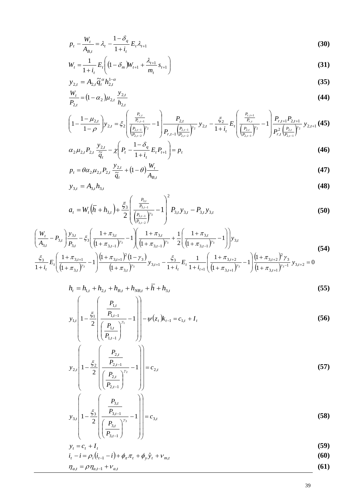$$
p_t - \frac{W_t}{A_{B,t}} = \lambda_t - \frac{1 - \delta_q}{1 + i_t} E_t \lambda_{t+1}
$$
 (30)

$$
W_{t} = \frac{1}{1+i_{t}} E_{t} \left( (1 - \delta_{m}) W_{t+1} + \frac{\lambda_{t+1}}{m_{t}} s_{t+1} \right)
$$
 (31)

$$
y_{2,t} = A_{2,t} \tilde{q}_t^{\alpha} h_{2,t}^{1-\alpha}
$$
  
\n
$$
\frac{W_t}{P_{2,t}} = (1 - \alpha_2) \mu_{2,t} \frac{y_{2,t}}{h_{2,t}}
$$
\n(35)

$$
P_{2,t} \t n_{2,t}
$$
\n
$$
\left(1 - \frac{1 - \mu_{2,t}}{1 - \rho}\right) y_{2,t} = \xi_2 \left( \frac{\frac{P_{r,t}}{P_{r,t-1}}}{\left(\frac{P_{2,t-1}}{P_{2,t-2}}\right)^{\gamma_2}} - 1 \right) \frac{P_{2,t}}{P_{r,t-1} \left(\frac{P_{2,t-1}}{P_{2,t-2}}\right)^{\gamma_2}} y_{2,t} - \frac{\xi_2}{1 + i_t} E_t \left( \frac{\frac{P_{r,t+1}}{P_{r,t}}}{\left(\frac{P_{2,t}}{P_{2,t-1}}\right)^{\gamma_2}} - 1 \right) \frac{P_{r,t+1} P_{2,t+1}}{P_{r,t} \left(\frac{P_{2,t}}{P_{2,t-1}}\right)^{\gamma_2}} y_{2,t+1} \tag{45}
$$

$$
\alpha_2 \mu_{2,t} P_{2,t} \frac{y_{2,t}}{\tilde{q}_t} - \chi \left( P_t - \frac{1 - \delta_q}{1 + i_t} E_t P_{t+1} \right) = p_t \tag{46}
$$

$$
p_{t} = \theta \alpha_{2} \mu_{2,t} P_{2,t} \frac{y_{2,t}}{\tilde{q}_{t}} + (1 - \theta) \frac{W_{t}}{A_{B,t}}
$$
(47)

$$
y_{3,t} = A_{3,t} h_{3,t} \tag{48}
$$

$$
a_{t} = W_{t} \left( \overline{h} + h_{3,t} \right) + \frac{\xi_{3}}{2} \left( \frac{\frac{P_{3,t}}{P_{3,t-1}}}{\left( \frac{P_{3,t-1}}{P_{3,t-2}} \right)^{2}} - 1 \right)^{2} P_{3,t} y_{3,t} - P_{3,t} y_{3,t}
$$
(50)

$$
\left(\frac{W_{t}}{A_{3,t}}-P_{3,t}\right)\frac{y_{3,t}}{P_{3,t}}-\xi_{3}\left(\frac{1+\pi_{3,t}}{(1+\pi_{3,t-1})^{r_{3}}}-1\right)\left(\frac{1+\pi_{3,t}}{(1+\pi_{3,t-1})^{r_{3}}}+\frac{1}{2}\left(\frac{1+\pi_{3,t}}{(1+\pi_{3,t-1})^{r_{3}}}-1\right)\right)y_{3,t}
$$
\n
$$
\frac{\xi_{3}}{1+i_{t}}E_{t}\left(\frac{1+\pi_{3,t+1}}{(1+\pi_{3,t})^{r_{3}}}-1\right)\frac{(1+\pi_{3,t+1})^{2}(1-\gamma_{3})}{(1+\pi_{3,t})^{r_{3}}}y_{3,t+1}-\frac{\xi_{3}}{1+i_{t}}E_{t}\frac{1}{1+i_{t+1}}\left(\frac{1+\pi_{3,t+2}}{(1+\pi_{3,t+1})^{r_{3}}}-1\right)\frac{(1+\pi_{3,t+2})^{2}\gamma_{3}}{(1+\pi_{3,t+1})^{r_{3}-1}}y_{3,t+2}=0
$$
\n(54)

$$
h_{t} = h_{1,t} + h_{2,t} + h_{B,t} + h_{NB,t} + \bar{h} + h_{3,t}
$$
\n(55)

$$
y_{1,t} \left( 1 - \frac{\xi_1}{2} \left( \frac{P_{1,t}}{\left( \frac{P_{1,t}}{P_{1,t-1}} \right)^{\gamma_1}} - 1 \right) - \psi(z_t) k_{t-1} = c_{1,t} + I_t
$$
 (56)

$$
W_{r} = \frac{1}{A_{B,r}} - Z_{r} = \frac{1}{1 + i_{r}} E_{r} \left( (1 - \delta_{m}) W_{r+1} + \frac{\lambda_{r+1}}{m_{r}} S_{r+1} \right)
$$
\n
$$
W_{r} = \frac{1}{1 + i_{r}} E_{r} \left[ (1 - \delta_{m}) W_{r+1} + \frac{\lambda_{r+1}}{m_{r}} S_{r+1} \right]
$$
\n
$$
W_{r} = \frac{W}{1 - i_{r}} E_{r} \left[ (1 - \delta_{m}) W_{r+1} + \frac{\lambda_{r+1}}{m_{r}} S_{r+1} \right]
$$
\n
$$
W_{r} = \frac{W}{1 - i_{r}} \left[ y_{2x} - \frac{z_{2}}{2} \left( \frac{\delta_{r+1}}{\delta_{r+1}} - 1 \right) \frac{P_{2x}}{P_{r+1} \left( \frac{\delta_{r+1}}{\delta_{r+1}} \right)} Y_{2x} - \frac{z_{2}}{1 + i_{r}} E_{r} \left( \frac{\delta_{r+1}}{\delta_{r+1}} - 1 \right) \frac{P_{r+1} P_{r+1}}{P_{r+1} \left( \frac{\delta_{r+1}}{\delta_{r+1}} \right)} Y_{2x} - \frac{1}{2} \left( \frac{\delta_{r+1}}{\delta_{r+1}} - 1 \right) \frac{P_{r+1} P_{r+1}}{P_{r+1} \left( \frac{\delta_{r+1}}{\delta_{r+1}} \right)} Y_{2x} - \frac{1}{2} \left( \frac{\delta_{r+1}}{\delta_{r+1}} \right) Y_{2x} - \frac{1}{2} \left( \frac{\delta_{r+1}}{\delta_{r+1}} \right) Y_{2x} - \frac{1}{2} \left( \frac{\delta_{r+1}}{\delta_{r+1}} \right) Y_{2x} - \frac{1}{2} \left( \frac{\delta_{r+1}}{\delta_{r+1}} \right) Y_{2x} - \frac{1}{2} \left( \frac{\delta_{r+1}}{\delta_{r+1}} \right) Y_{2x} - \frac{1}{2} \left( \frac{\delta_{r+1}}{\delta_{r+1}} \right) Y_{2x} - \frac{1}{2} \left( \frac{\delta_{r+1}}{\delta_{r+1}} \right) Y_{2x} - \frac{1}{2} \left(
$$

$$
y_{3,t} \left( 1 - \frac{\xi_3}{2} \left( \frac{P_{3,t}}{P_{3,t-1}} \right)^{r_3} - 1 \right) = c_{3,t}
$$
 (58)

$$
y_t = c_t + I_t
$$
  
\n
$$
i_t - i = \rho_i (i_{t-1} - i) + \phi_{\pi} \pi_t + \phi_y \hat{y}_t + v_{m,t}
$$
\n(59)

$$
\eta_{a,t} = \rho \eta_{a,t-1} + v_{a,t} \tag{61}
$$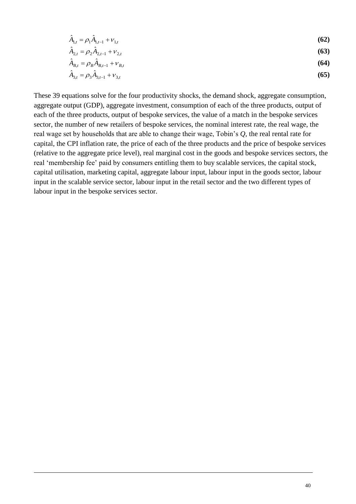$$
\hat{A}_{1,t} = \rho_1 \hat{A}_{1,t-1} + \nu_{1,t} \tag{62}
$$
\n
$$
\hat{A}_{1,t} = \rho_1 \hat{A}_{1,t-1} + \nu_{1,t} \tag{63}
$$

$$
\hat{A}_{2,t} = \rho_2 \hat{A}_{2,t-1} + \nu_{2,t} \tag{63}
$$
\n
$$
\hat{A}_{B,t} = \rho_B \hat{A}_{B,t-1} + \nu_{B,t} \tag{64}
$$

$$
\hat{A}_{3,t} = \rho_3 \hat{A}_{3,t-1} + \nu_{3,t} \tag{65}
$$

 $A_1$ ,  $A_2$ ,  $A_3$ ,  $A_4$ ,  $A_5$ ,  $A_5$ ,  $A_6$ ,  $A_7$ ,  $A_6$ ,  $A_7$ ,  $A_9$ ,  $A_9$ ,  $A_9$ ,  $A_9$ ,  $A_9$ ,  $A_1$ ,  $A_2$ ,  $A_3$ ,  $A_4$ ,  $A_5$ ,  $A_6$ ,  $A_7$ ,  $A_8$ ,  $A_9$ ,  $A_1$ ,  $A_1$ ,  $A_2$ ,  $A_3$ ,  $A_4$ ,  $A_5$ ,  $A_6$ ,  $A_7$ These 39 equations solve for the four productivity shocks, the demand shock, aggregate consumption, aggregate output (GDP), aggregate investment, consumption of each of the three products, output of each of the three products, output of bespoke services, the value of a match in the bespoke services sector, the number of new retailers of bespoke services, the nominal interest rate, the real wage, the real wage set by households that are able to change their wage, Tobin's *Q*, the real rental rate for capital, the CPI inflation rate, the price of each of the three products and the price of bespoke services (relative to the aggregate price level), real marginal cost in the goods and bespoke services sectors, the real 'membership fee' paid by consumers entitling them to buy scalable services, the capital stock, capital utilisation, marketing capital, aggregate labour input, labour input in the goods sector, labour input in the scalable service sector, labour input in the retail sector and the two different types of labour input in the bespoke services sector.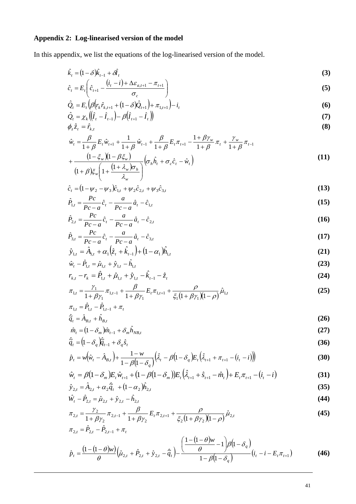## <span id="page-41-0"></span>**Appendix 2: Log-linearised version of the model**

In this appendix, we list the equations of the log-linearised version of the model.

$$
\hat{k}_{t} = (1 - \delta)\hat{k}_{t-1} + \delta\hat{l}_{t}
$$
\n
$$
\hat{k}_{t} = (1 - \delta)\hat{k}_{t-1} + \delta\hat{l}_{t}
$$
\n
$$
\hat{k}_{t} = \left(\frac{\hat{k}_{t} - \hat{l}_{t}}{\hat{k}_{t} - \hat{l}_{t}}\right) + \Delta\varepsilon_{a_{t} + 1} - \pi_{t+1}
$$
\n(3)

$$
\hat{c}_t = E_t \left( \hat{c}_{t+1} - \frac{(t_t - t) + \Delta \epsilon_{a,t+1} - \lambda_{t+1}}{\sigma_c} \right)
$$
\n
$$
(5)
$$

$$
\hat{Q}_{t} = E_{t} \left( \beta \left( r_{k} \hat{r}_{k,t+1} + (1 - \delta) \hat{Q}_{t+1} \right) + \pi_{1,t+1} \right) - i_{t} \n\hat{Q}_{t} = \chi_{k} \left( \left( \hat{I}_{t} - \hat{I}_{t-1} \right) - \beta \left( \hat{I}_{t+1} - \hat{I}_{t} \right) \right)
$$
\n(7)

$$
Q_{t} = \chi_{k} (l_{t} - l_{t-1}) - \beta (l_{t+1} - l_{t})
$$
\n
$$
\phi_{z} \hat{z}_{t} = \hat{r}_{k,t} \tag{8}
$$
\n
$$
\hat{w}_{t} = \frac{\beta}{\sqrt{2\pi}} E_{t} \hat{w}_{t+1} + \frac{1}{\sqrt{2\pi}} \hat{w}_{t-1} + \frac{\beta}{\sqrt{2\pi}} E_{t} \pi_{t+1} - \frac{1 + \beta \gamma_{w}}{\sqrt{2\pi}} \pi_{t} + \frac{\gamma_{w}}{\sqrt{2\pi}} \pi_{t-1}
$$

$$
\hat{w}_{t} = \frac{\beta}{1+\beta} E_{t} \hat{w}_{t+1} + \frac{1}{1+\beta} \hat{w}_{t-1} + \frac{\beta}{1+\beta} E_{t} \pi_{t+1} - \frac{1+\beta \gamma_{w}}{1+\beta} \pi_{t} + \frac{\gamma_{w}}{1+\beta} \pi_{t-1} \n+ \frac{\left(1-\xi_{w}\right)\left(1-\beta \xi_{w}\right)}{\left(1-\xi_{w}\right)\left(\sigma_{h} \hat{h}_{t} + \sigma_{e} \hat{c}_{t} - \hat{w}_{t}\right)}
$$
\n(11)

$$
+\frac{(1-\zeta_w)(1-\beta\zeta_w)}{(1+\beta)\zeta_w\left(1+\frac{(1+\lambda_w)\sigma_h}{\lambda_w}\right)}\left(\sigma_h\hat{h}_t+\sigma_c\hat{c}_t-\hat{w}_t\right)
$$
(11)

$$
\hat{c}_t = (1 - \psi_2 - \psi_3)\hat{c}_{1,t} + \psi_2 \hat{c}_{2,t} + \psi_3 \hat{c}_{3,t}
$$
\n(13)

$$
\hat{P}_{1,t} = \frac{P c}{P c - a} \hat{c}_t - \frac{a}{P c - a} \hat{a}_t - \hat{c}_{1,t}
$$
\n(15)

$$
\hat{P}_{2,t} = \frac{P c}{P c - a} \hat{c}_t - \frac{a}{P c - a} \hat{a}_t - \hat{c}_{2,t}
$$
\n(16)

$$
\hat{P}_{3,t} = \frac{P c}{P c - a} \hat{c}_t - \frac{a}{P c - a} \hat{a}_t - \hat{c}_{3,t}
$$
\n(17)

$$
\hat{y}_{1,t} = \hat{A}_{1,t} + \alpha_1 \left( \hat{z}_t + \hat{k}_{t-1} \right) + \left( 1 - \alpha_1 \right) \hat{h}_{1,t} \tag{21}
$$
\n
$$
\hat{w}_t - \hat{P}_t = \hat{u}_{1,t} + \hat{v}_{1,t} - \hat{h}_{1,t} \tag{23}
$$

$$
\hat{w}_t - \hat{P}_{1,t} = \hat{\mu}_{1,t} + \hat{y}_{1,t} - \hat{h}_{1,t}
$$
\n(23)

$$
r_{k,t} - r_k = \hat{P}_{1,t} + \hat{\mu}_{1,t} + \hat{y}_{1,t} - \hat{k}_{t-1} - \hat{z}_t
$$
\n(24)

$$
\pi_{1,t} = \frac{\gamma_1}{1 + \beta \gamma_1} \pi_{1,t-1} + \frac{\beta}{1 + \beta \gamma_1} E_t \pi_{1,t+1} + \frac{\rho}{\xi_1 (1 + \beta \gamma_1)(1 - \rho)} \hat{\mu}_{1,t}
$$
\n(25)

$$
\pi_{1,t} = \hat{P}_{1,t} - \hat{P}_{1,t-1} + \pi_t
$$
  
\n
$$
\hat{\tilde{q}}_t = \hat{A}_{B,t} + \hat{h}_{B,t}
$$
\n(26)

$$
\hat{m}_t = (1 - \delta_m)\hat{m}_{t-1} + \delta_m \hat{h}_{NB,t}
$$
\n(27)

$$
\hat{\tilde{q}}_t = (1 - \delta_q) \hat{\tilde{q}}_{t-1} + \delta_q \hat{s}_t
$$
\n(36)

$$
\hat{p}_t = w(\hat{w}_t - \hat{A}_{B,t}) + \frac{1 - w}{1 - \beta(1 - \delta_q)} (\hat{\lambda}_t - \beta(1 - \delta_q)) E_t (\hat{\lambda}_{t+1} + \pi_{t+1} - (i_t - i)))
$$
\n(30)

$$
\hat{w}_t = \beta (1 - \delta_m) E_t \hat{w}_{t+1} + (1 - \beta (1 - \delta_m)) E_t (\hat{\lambda}_{t+1} + \hat{s}_{t+1} - \hat{m}_t) + E_t \pi_{t+1} - (i_t - i)
$$
\n(31)

$$
\hat{y}_{2,t} = \hat{A}_{2,t} + \alpha_2 \tilde{q}_t + (1 - \alpha_2) \hat{h}_{2,t}
$$
\n(35)

$$
\hat{W}_t - \hat{P}_{2,t} = \hat{\mu}_{2,t} + \hat{y}_{2,t} - \hat{h}_{2,t}
$$
\n(44)

$$
w_{t} - P_{2,t} = \mu_{2,t} + y_{2,t} - n_{2,t}
$$
\n
$$
\pi_{2,t} = \frac{\gamma_{2}}{1 + \beta \gamma_{2}} \pi_{2,t-1} + \frac{\beta}{1 + \beta \gamma_{2}} E_{t} \pi_{2,t+1} + \frac{\rho}{\xi_{2} (1 + \beta \gamma_{2}) (1 - \rho)} \hat{\mu}_{2,t}
$$
\n
$$
\pi_{2,t} = \hat{P}_{2,t} - \hat{P}_{2,t-1} + \pi_{t}
$$
\n(45)

$$
\hat{p}_t = \frac{(1 - (1 - \theta)w)}{\theta} \left( \hat{\mu}_{2,t} + \hat{P}_{2,t} + \hat{y}_{2,t} - \hat{\tilde{q}}_t \right) - \frac{\left( \frac{1 - (1 - \theta)w}{\theta} - 1 \right) \beta (1 - \delta_q)}{1 - \beta (1 - \delta_q)} (i_t - i - E_t \pi_{t+1}) \tag{46}
$$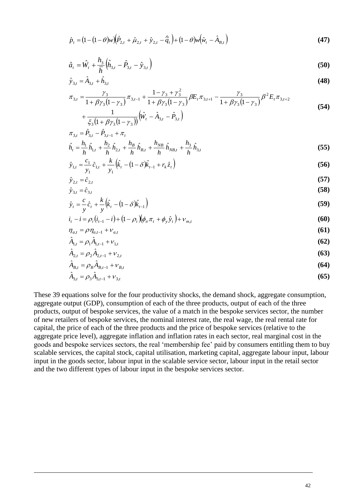$$
\hat{p}_t = (1 - (1 - \theta)w)(\hat{P}_{2,t} + \hat{\mu}_{2,t} + \hat{y}_{2,t} - \hat{\tilde{q}}_t) + (1 - \theta)w(\hat{w}_t - \hat{A}_{B,t})
$$
\n(47)

$$
\hat{a}_t = \hat{W}_t + \frac{h_3}{\bar{h}} \left( \hat{h}_{3,t} - \hat{P}_{3,t} - \hat{y}_{3,t} \right)
$$
\n(50)

$$
\hat{y}_{3,t} = \hat{A}_{3,t} + \hat{h}_{3,t} \tag{48}
$$

$$
\hat{y}_{3,t} = \hat{A}_{3,t} + \hat{h}_{3,t} \tag{48}
$$
\n
$$
\pi_{3,t} = \frac{\gamma_3}{1 + \beta \gamma_3 (1 - \gamma_3)} \pi_{3,t-1} + \frac{1 - \gamma_3 + \gamma_3^2}{1 + \beta \gamma_3 (1 - \gamma_3)} \beta E_t \pi_{3,t+1} - \frac{\gamma_3}{1 + \beta \gamma_3 (1 - \gamma_3)} \beta^2 E_t \pi_{3,t+2} + \frac{1}{\xi_3 (1 + \beta \gamma_3 (1 - \gamma_3))} (\hat{W}_t - \hat{A}_{3,t} - \hat{P}_{3,t}) \tag{54}
$$

$$
\xi_3 (1 + \beta \gamma_3 (1 - \gamma_3))^{V \t\t t} \t\t-3, t \t\t-3, t \t\t-3, t \t\t}
$$
  

$$
\pi_{3,t} = \hat{P}_{3,t} - \hat{P}_{3,t-1} + \pi_t
$$
  

$$
\hat{h}_t = \frac{h_1}{h} \hat{h}_{1,t} + \frac{h_2}{h} \hat{h}_{2,t} + \frac{h_B}{h} \hat{h}_{B,t} + \frac{h_{NB}}{h} \hat{h}_{NB,t} + \frac{h_3}{h} \hat{h}_{3,t}
$$
 (55)

$$
\hat{y}_{1,t} = \frac{c_1}{y_1} \hat{c}_{1,t} + \frac{k}{y_1} \left( \hat{k}_t - (1 - \delta) \hat{k}_{t-1} + r_k \hat{z}_t \right)
$$
\n(56)

$$
\hat{y}_{2,t} = \hat{c}_{2,t} \tag{57}
$$
\n
$$
\hat{y}_{3,t} = \hat{c}_{3,t} \tag{58}
$$

$$
\hat{y}_{3,t} = \hat{c}_{3,t} \tag{58}
$$
\n
$$
\hat{y}_t = \frac{c}{c} \hat{c}_t + \frac{k}{c} \left( \hat{k}_t - (1 - \delta) \hat{k}_{t-1} \right) \tag{59}
$$

$$
\begin{aligned} \n\sum_{i} \n\sum_{i} \n\begin{pmatrix} \n\mathbf{y} & \mathbf{y} & \mathbf{y} & \mathbf{y} & \mathbf{y} & \mathbf{y} & \mathbf{y} & \mathbf{y} & \mathbf{y} & \mathbf{y} & \mathbf{y} & \mathbf{y} & \mathbf{y} & \mathbf{y} & \mathbf{y} & \mathbf{y} & \mathbf{y} & \mathbf{y} & \mathbf{y} & \mathbf{y} & \mathbf{y} & \mathbf{y} & \mathbf{y} & \mathbf{y} & \mathbf{y} & \mathbf{y} & \mathbf{y} & \mathbf{y} & \mathbf{y} & \mathbf{y} & \mathbf{y} & \mathbf{y} & \mathbf{y} & \mathbf{y} & \mathbf{y} & \mathbf{y} & \mathbf{y} & \mathbf{y} & \mathbf{y} & \mathbf{y} & \mathbf{y} & \mathbf{y} & \mathbf{y} & \mathbf{y} & \mathbf{y} & \mathbf{y} & \mathbf{y} & \mathbf{y} & \mathbf{y} & \mathbf{y} & \mathbf{y} & \mathbf{y} & \mathbf{y} & \mathbf{y} & \mathbf{y} & \mathbf{y} & \mathbf{y} & \mathbf{y} & \mathbf{y} & \mathbf{y} & \mathbf{y} & \mathbf{y} & \mathbf{y} & \mathbf{y} & \mathbf{y} & \mathbf{y} & \mathbf{y} & \mathbf{y} & \mathbf{y} & \mathbf{y} & \mathbf{y} & \mathbf{y} & \mathbf{y} & \mathbf{y} & \mathbf{y} & \mathbf{y} & \mathbf{y} & \mathbf{y} & \mathbf{y} & \mathbf{y} & \mathbf{y} & \mathbf{y} & \mathbf{y} & \mathbf{y} & \mathbf{y} & \mathbf{y} & \mathbf{y} & \mathbf{y} & \mathbf{y} & \mathbf{y} & \mathbf{y} & \mathbf{y} & \mathbf{y} & \mathbf{y} & \mathbf{y} & \mathbf{y} & \mathbf{y} & \mathbf{y} & \mathbf{y} & \mathbf{y} & \mathbf{y} & \mathbf{y} & \mathbf{y} & \mathbf{y} & \mathbf
$$

$$
\eta_{a,t} = \rho \eta_{a,t-1} + \nu_{a,t} \tag{61}
$$

$$
\hat{A}_{1,t} = \rho_1 \hat{A}_{1,t-1} + v_{1,t} \tag{62}
$$

$$
\hat{A}_{2,t} = \rho_2 \hat{A}_{2,t-1} + \nu_{2,t} \tag{63}
$$

$$
\hat{A}_{B,t} = \rho_B \hat{A}_{B,t-1} + \nu_{B,t} \tag{64}
$$

$$
\hat{A}_{3,t} = \rho_3 \hat{A}_{3,t-1} + \nu_{3,t} \tag{65}
$$

 $\hat{p}_x = (t - (t - \rho)s_x)[P_{2x} + P_{2x} + P_{2x} - \overline{a}_x] + (t - \rho)s_x[(\delta_x - A_{2x})]$ <br>  $\hat{p}_x = \hat{A}_{2x} + \hat{P}_{2x}$ <br>  $\hat{p}_x = \hat{A}_{2x} + \hat{P}_{2x}$ <br>  $\hat{p}_x = \frac{r_2}{1 - \beta^2 r_1(1 - r_2)} \hat{p}_{2x} + \frac{1 - r_2 - r_2^2}{1 + \beta^2 r_2(1 - r_2)} / \theta^2 F_{1} \pi_{3x+2}$ <br>  $\frac{1}{\$ These 39 equations solve for the four productivity shocks, the demand shock, aggregate consumption, aggregate output (GDP), consumption of each of the three products, output of each of the three products, output of bespoke services, the value of a match in the bespoke services sector, the number of new retailers of bespoke services, the nominal interest rate, the real wage, the real rental rate for capital, the price of each of the three products and the price of bespoke services (relative to the aggregate price level), aggregate inflation and inflation rates in each sector, real marginal cost in the goods and bespoke services sectors, the real 'membership fee' paid by consumers entitling them to buy scalable services, the capital stock, capital utilisation, marketing capital, aggregate labour input, labour input in the goods sector, labour input in the scalable service sector, labour input in the retail sector and the two different types of labour input in the bespoke services sector.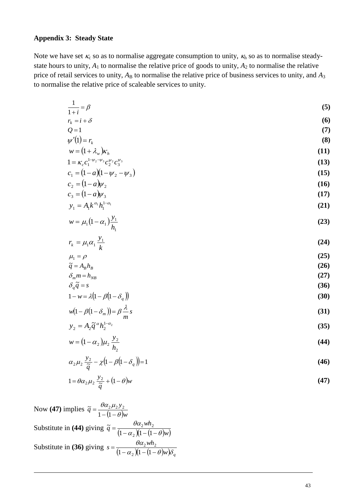#### <span id="page-43-0"></span>**Appendix 3: Steady State**

Note we have set  $\kappa_c$  so as to normalise aggregate consumption to unity,  $\kappa_h$  so as to normalise steadystate hours to unity,  $A_1$  to normalise the relative price of goods to unity,  $A_2$  to normalise the relative price of retail services to unity,  $A_B$  to normalise the relative price of business services to unity, and  $A_3$ to normalise the relative price of scaleable services to unity.

$$
\frac{1}{1+i} = \beta
$$
\n(5)  
\n $r_k = i + \delta$ \n(6)  
\n $Q = 1$ \n(7)  
\n $w = (1 + \lambda_w) \kappa_h$ \n(8)  
\n $c_1 = (1 - a)(1 - \psi_2 - \psi_3)$ \n(9)  
\n $c_2 = (1 - a)\psi_2$ \n(10)  
\n $c_3 = (1 - a)\psi_3$ \n(11)  
\n $w = \mu_1(1 - \alpha_1)\frac{y_1}{h_1}$ \n(22)  
\n $\frac{\partial}{\partial q} = a_h h_s$ \n(25)  
\n $\delta_m m = h_{mg}$ \n(26)  
\n $\delta_m m = h_{mg}$ \n(27)  
\n $\delta_q \tilde{q} = s$ \n(36)  
\n $\gamma_1 = \alpha_1 \alpha_1 \frac{y_1}{k}$ \n(27)  
\n $\delta_q \tilde{q} = s$ \n(38)  
\n $v_1(1 - \beta(1 - \delta_w))$ \n(39)  
\n $w(1 - \beta(1 - \delta_w)) = \beta \frac{\lambda}{m} s$ \n(31)  
\n $v_2 = A_2 \tilde{q}^{\alpha} h_2^{1-\alpha_2}$ \n(35)  
\n $w = (1 - \alpha_2) \mu_2 \frac{y_2}{h_2}$ \n(36)  
\n $\alpha_2 \mu_2 \frac{y_2}{\tilde{q}} - \chi(1 - \beta(1 - \delta_q)) = 1$ \n(46)  
\n $1 = \theta \alpha_2 \mu_2 \frac{y_2}{\tilde{q}} + (1 - \theta)w$ \n(47)

Now **(47)** implies  $(1-\theta)w$  $\widetilde{q} = \frac{\theta \alpha_2 \mu_2 y}{1 - (1 - \theta)}$  $\theta \alpha$ <sub>2</sub> $\mu$  $-(1 =$  $1 - (1)$  $\widetilde{a} - \frac{\theta \alpha_2 \mu_2 y_2}{2}$ Substitute in **(44)** giving  $(1-\alpha)$ ,  $(1-(1-\theta)w)$  $\widetilde{q} = \frac{\theta \alpha_2 w h_2}{(1 - \alpha_2)(1 - (1 - \theta_2))}$  $\theta \alpha$  $-\alpha$ ,  $)(1-(1-\alpha)$  $=$  $(1 - \alpha) (1 - (1$  $\tilde{a}$ 2  $2$ <sup>*w* $n_2$ </sup> Substitute in **(36)** giving  $(1-\alpha_2)(1-(1-\theta)w)\delta_q$  $s = \frac{\theta \alpha_2 w h_2}{(1 - \alpha_2)(1 - (1 - \theta)w) \delta}$  $\theta\alpha$  $-\alpha$ <sub>2</sub>  $)(1-(1 =$  $(1 - \alpha_2)(1 - (1$  $2$ <sup>*w* $n_2$ </sup>